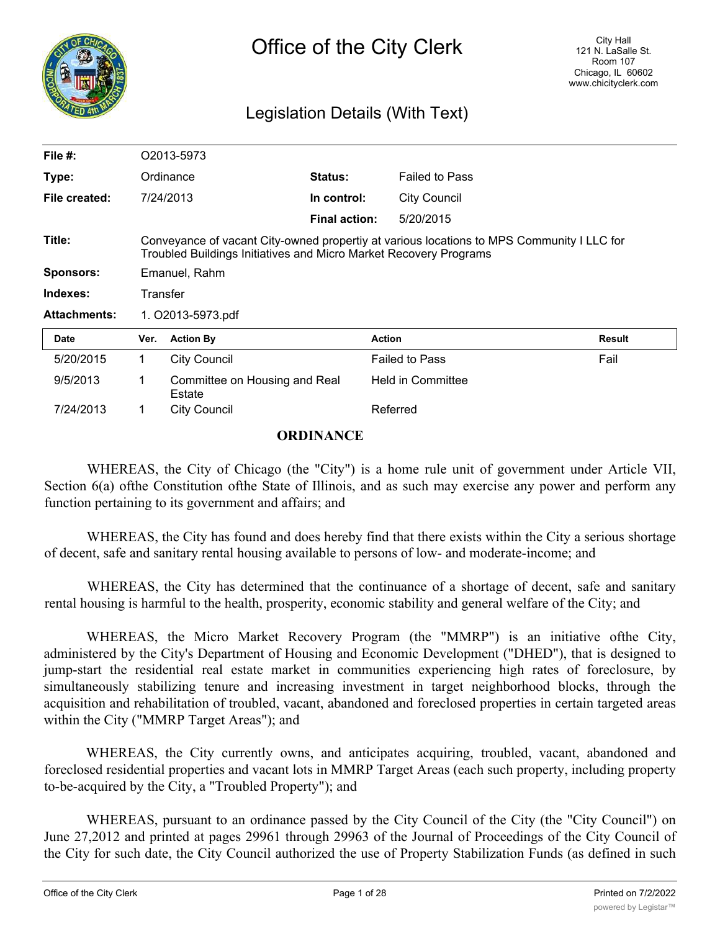

# Legislation Details (With Text)

| File $#$ :          |                   | O2013-5973                                                        |                      |                                                                                           |               |
|---------------------|-------------------|-------------------------------------------------------------------|----------------------|-------------------------------------------------------------------------------------------|---------------|
| Type:               |                   | Ordinance                                                         | Status:              | <b>Failed to Pass</b>                                                                     |               |
| File created:       |                   | 7/24/2013                                                         | In control:          | <b>City Council</b>                                                                       |               |
|                     |                   |                                                                   | <b>Final action:</b> | 5/20/2015                                                                                 |               |
| Title:              |                   | Troubled Buildings Initiatives and Micro Market Recovery Programs |                      | Conveyance of vacant City-owned propertiy at various locations to MPS Community I LLC for |               |
| <b>Sponsors:</b>    |                   | Emanuel, Rahm                                                     |                      |                                                                                           |               |
| Indexes:            | Transfer          |                                                                   |                      |                                                                                           |               |
| <b>Attachments:</b> | 1. O2013-5973.pdf |                                                                   |                      |                                                                                           |               |
| Date                | Ver.              | <b>Action By</b>                                                  |                      | <b>Action</b>                                                                             | <b>Result</b> |
| 5/20/2015           | 1.                | <b>City Council</b>                                               |                      | <b>Failed to Pass</b>                                                                     | Fail          |
| 9/5/2013            | 1                 | Committee on Housing and Real<br>Estate                           |                      | Held in Committee                                                                         |               |
| 7/24/2013           |                   | <b>City Council</b>                                               |                      | Referred                                                                                  |               |

## **ORDINANCE**

WHEREAS, the City of Chicago (the "City") is a home rule unit of government under Article VII, Section 6(a) of the Constitution of the State of Illinois, and as such may exercise any power and perform any function pertaining to its government and affairs; and

WHEREAS, the City has found and does hereby find that there exists within the City a serious shortage of decent, safe and sanitary rental housing available to persons of low- and moderate-income; and

WHEREAS, the City has determined that the continuance of a shortage of decent, safe and sanitary rental housing is harmful to the health, prosperity, economic stability and general welfare of the City; and

WHEREAS, the Micro Market Recovery Program (the "MMRP") is an initiative ofthe City, administered by the City's Department of Housing and Economic Development ("DHED"), that is designed to jump-start the residential real estate market in communities experiencing high rates of foreclosure, by simultaneously stabilizing tenure and increasing investment in target neighborhood blocks, through the acquisition and rehabilitation of troubled, vacant, abandoned and foreclosed properties in certain targeted areas within the City ("MMRP Target Areas"); and

WHEREAS, the City currently owns, and anticipates acquiring, troubled, vacant, abandoned and foreclosed residential properties and vacant lots in MMRP Target Areas (each such property, including property to-be-acquired by the City, a "Troubled Property"); and

WHEREAS, pursuant to an ordinance passed by the City Council of the City (the "City Council") on June 27,2012 and printed at pages 29961 through 29963 of the Journal of Proceedings of the City Council of the City for such date, the City Council authorized the use of Property Stabilization Funds (as defined in such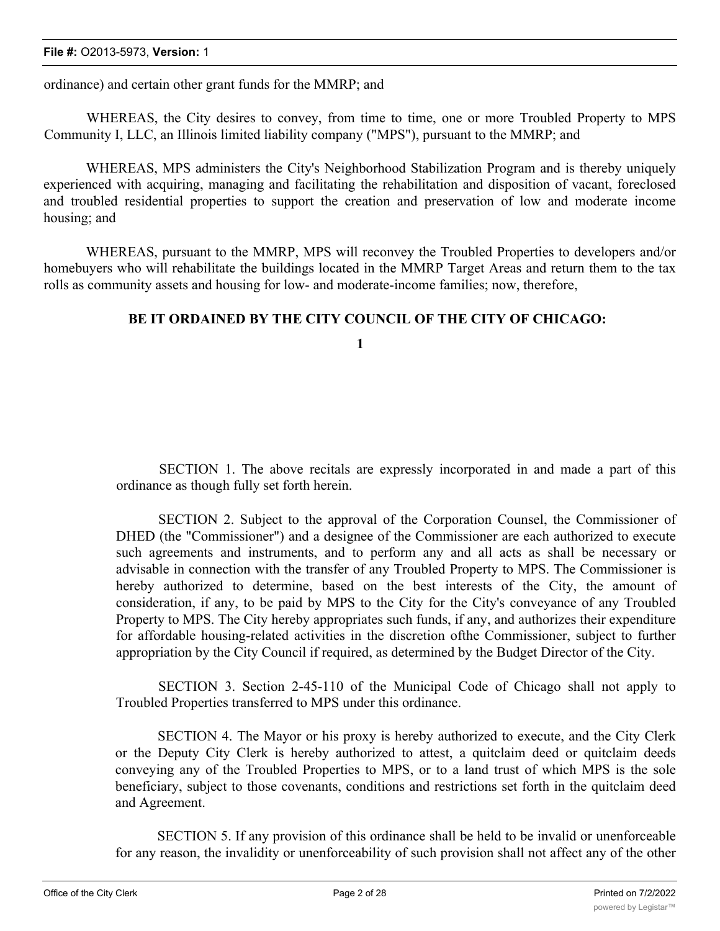ordinance) and certain other grant funds for the MMRP; and

WHEREAS, the City desires to convey, from time to time, one or more Troubled Property to MPS Community I, LLC, an Illinois limited liability company ("MPS"), pursuant to the MMRP; and

WHEREAS, MPS administers the City's Neighborhood Stabilization Program and is thereby uniquely experienced with acquiring, managing and facilitating the rehabilitation and disposition of vacant, foreclosed and troubled residential properties to support the creation and preservation of low and moderate income housing; and

WHEREAS, pursuant to the MMRP, MPS will reconvey the Troubled Properties to developers and/or homebuyers who will rehabilitate the buildings located in the MMRP Target Areas and return them to the tax rolls as community assets and housing for low- and moderate-income families; now, therefore,

## **BE IT ORDAINED BY THE CITY COUNCIL OF THE CITY OF CHICAGO:**

**1**

SECTION 1. The above recitals are expressly incorporated in and made a part of this ordinance as though fully set forth herein.

SECTION 2. Subject to the approval of the Corporation Counsel, the Commissioner of DHED (the "Commissioner") and a designee of the Commissioner are each authorized to execute such agreements and instruments, and to perform any and all acts as shall be necessary or advisable in connection with the transfer of any Troubled Property to MPS. The Commissioner is hereby authorized to determine, based on the best interests of the City, the amount of consideration, if any, to be paid by MPS to the City for the City's conveyance of any Troubled Property to MPS. The City hereby appropriates such funds, if any, and authorizes their expenditure for affordable housing-related activities in the discretion ofthe Commissioner, subject to further appropriation by the City Council if required, as determined by the Budget Director of the City.

SECTION 3. Section 2-45-110 of the Municipal Code of Chicago shall not apply to Troubled Properties transferred to MPS under this ordinance.

SECTION 4. The Mayor or his proxy is hereby authorized to execute, and the City Clerk or the Deputy City Clerk is hereby authorized to attest, a quitclaim deed or quitclaim deeds conveying any of the Troubled Properties to MPS, or to a land trust of which MPS is the sole beneficiary, subject to those covenants, conditions and restrictions set forth in the quitclaim deed and Agreement.

SECTION 5. If any provision of this ordinance shall be held to be invalid or unenforceable for any reason, the invalidity or unenforceability of such provision shall not affect any of the other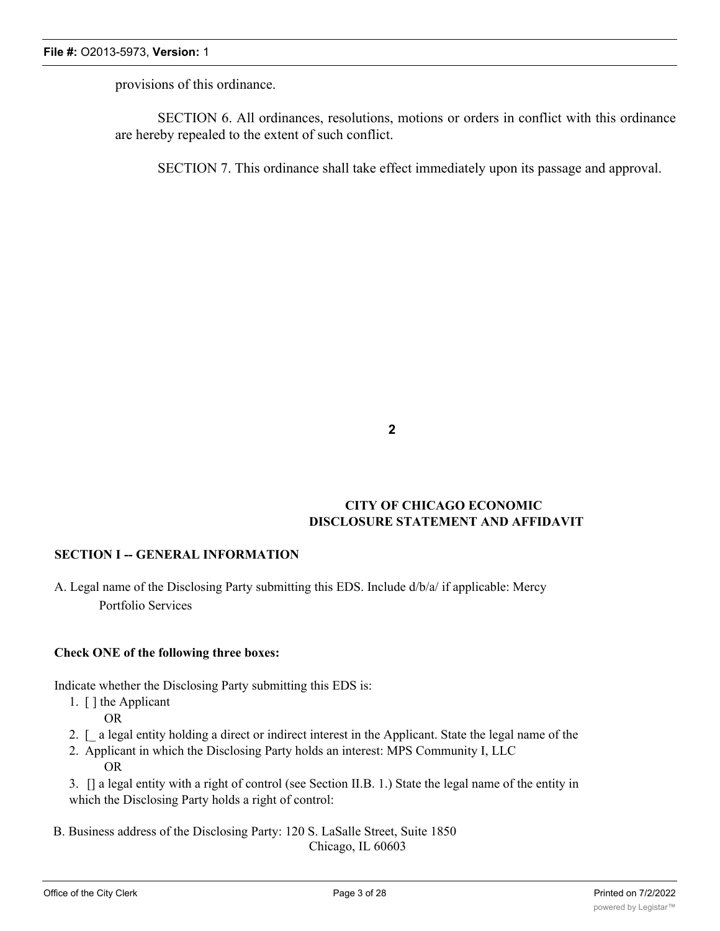provisions of this ordinance.

SECTION 6. All ordinances, resolutions, motions or orders in conflict with this ordinance are hereby repealed to the extent of such conflict.

SECTION 7. This ordinance shall take effect immediately upon its passage and approval.

**2**

## **CITY OF CHICAGO ECONOMIC DISCLOSURE STATEMENT AND AFFIDAVIT**

## **SECTION I -- GENERAL INFORMATION**

A. Legal name of the Disclosing Party submitting this EDS. Include d/b/a/ if applicable: Mercy Portfolio Services

## **Check ONE of the following three boxes:**

Indicate whether the Disclosing Party submitting this EDS is:

- 1. [ ] the Applicant OR
- 2. [\_ a legal entity holding a direct or indirect interest in the Applicant. State the legal name of the
- 2. Applicant in which the Disclosing Party holds an interest: MPS Community I, LLC OR

3. [] a legal entity with a right of control (see Section II.B. 1.) State the legal name of the entity in which the Disclosing Party holds a right of control:

B. Business address of the Disclosing Party: 120 S. LaSalle Street, Suite 1850 Chicago, IL 60603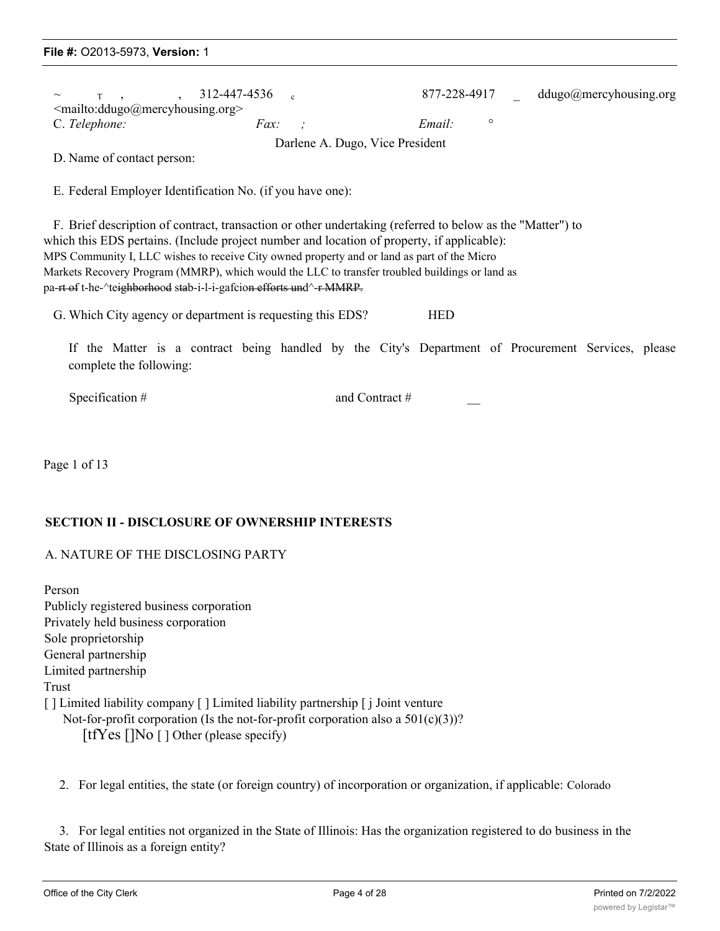| $\sim$<br>$\leq$ mailto:ddugo@mercyhousing.org>               | $T$ , $312-447-4536$ c | 877-228-4917      |  | ddugo@mercyhousing.org |
|---------------------------------------------------------------|------------------------|-------------------|--|------------------------|
| C. Telephone:                                                 | Fax:                   | $\circ$<br>Email: |  |                        |
| Darlene A. Dugo, Vice President<br>D. Name of contact person: |                        |                   |  |                        |
| E. Federal Employer Identification No. (if you have one):     |                        |                   |  |                        |

F. Brief description of contract, transaction or other undertaking (referred to below as the "Matter") to which this EDS pertains. (Include project number and location of property, if applicable): MPS Community I, LLC wishes to receive City owned property and or land as part of the Micro Markets Recovery Program (MMRP), which would the LLC to transfer troubled buildings or land as pa-rt of t-he-^teighborhood stab-i-l-i-gafcion efforts und^-r MMRP.

G. Which City agency or department is requesting this EDS? HED

If the Matter is a contract being handled by the City's Department of Procurement Services, please complete the following:

Specification #  $\qquad \qquad \text{and Contract}$  #

Page 1 of 13

## **SECTION II - DISCLOSURE OF OWNERSHIP INTERESTS**

#### A. NATURE OF THE DISCLOSING PARTY

Person Publicly registered business corporation Privately held business corporation Sole proprietorship General partnership Limited partnership Trust [ ] Limited liability company [ ] Limited liability partnership [ j Joint venture Not-for-profit corporation (Is the not-for-profit corporation also a  $501(c)(3)$ )? [tfYes []No [] Other (please specify)

2. For legal entities, the state (or foreign country) of incorporation or organization, if applicable: Colorado

3. For legal entities not organized in the State of Illinois: Has the organization registered to do business in the State of Illinois as a foreign entity?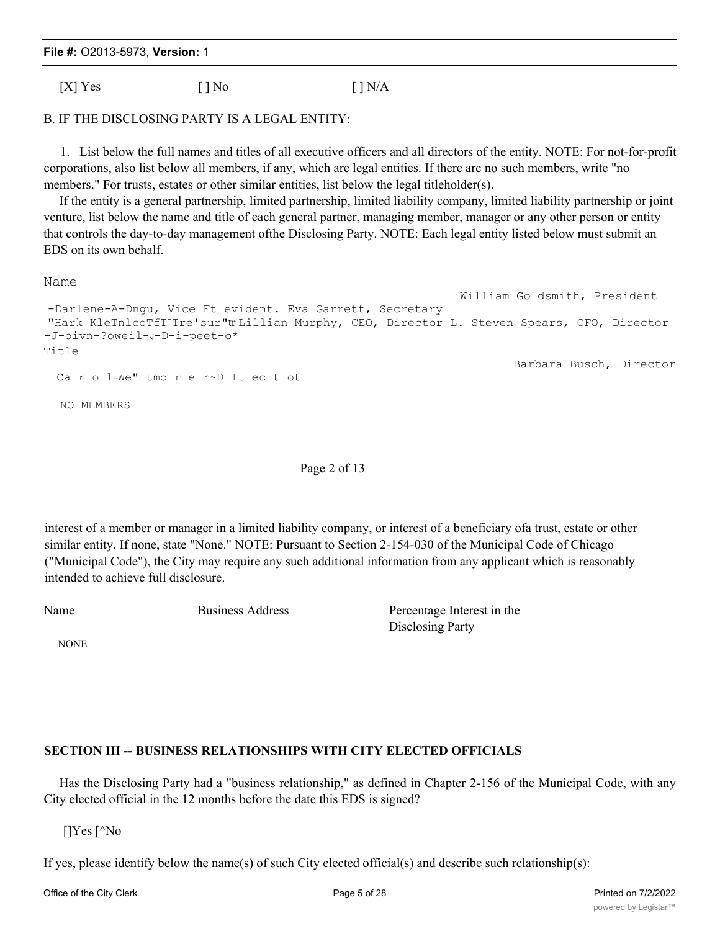|  | File #: 02013-5973, Version: 1 |  |  |
|--|--------------------------------|--|--|
|--|--------------------------------|--|--|

 $[X]$  Yes  $[ ]$  No  $[ ]$  N/A

### B. IF THE DISCLOSING PARTY IS A LEGAL ENTITY:

1. List below the full names and titles of all executive officers and all directors of the entity. NOTE: For not-for-profit corporations, also list below all members, if any, which are legal entities. If there arc no such members, write "no members." For trusts, estates or other similar entities, list below the legal titleholder(s).

If the entity is a general partnership, limited partnership, limited liability company, limited liability partnership or joint venture, list below the name and title of each general partner, managing member, manager or any other person or entity that controls the day-to-day management ofthe Disclosing Party. NOTE: Each legal entity listed below must submit an EDS on its own behalf.

Name

William Goldsmith, President -Darlene-A-Dngu, Vice Ft evident. Eva Garrett, Secretary "Hark KleTnlcoTfT-Tre'sur"tr Lillian Murphy, CEO, Director L. Steven Spears, CFO, Director -J-oivn-?oweil-x-D-i-peet-o\* Title Barbara Busch, Director Ca r o l\_We" tmo r e r~D It ec t ot NO MEMBERS

Page 2 of 13

interest of a member or manager in a limited liability company, or interest of a beneficiary ofa trust, estate or other similar entity. If none, state "None." NOTE: Pursuant to Section 2-154-030 of the Municipal Code of Chicago ("Municipal Code"), the City may require any such additional information from any applicant which is reasonably intended to achieve full disclosure.

Name Business Address Percentage Interest in the Disclosing Party

NONE

# **SECTION III -- BUSINESS RELATIONSHIPS WITH CITY ELECTED OFFICIALS**

Has the Disclosing Party had a "business relationship," as defined in Chapter 2-156 of the Municipal Code, with any City elected official in the 12 months before the date this EDS is signed?

[]Yes [^No

If yes, please identify below the name(s) of such City elected official(s) and describe such rclationship(s):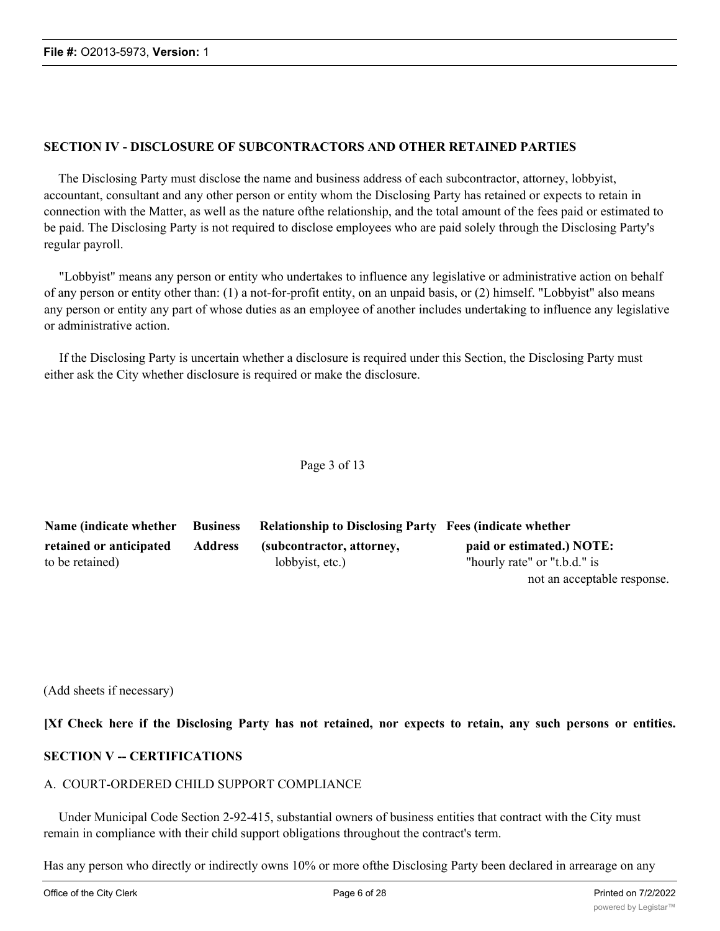## **SECTION IV - DISCLOSURE OF SUBCONTRACTORS AND OTHER RETAINED PARTIES**

The Disclosing Party must disclose the name and business address of each subcontractor, attorney, lobbyist, accountant, consultant and any other person or entity whom the Disclosing Party has retained or expects to retain in connection with the Matter, as well as the nature ofthe relationship, and the total amount of the fees paid or estimated to be paid. The Disclosing Party is not required to disclose employees who are paid solely through the Disclosing Party's regular payroll.

"Lobbyist" means any person or entity who undertakes to influence any legislative or administrative action on behalf of any person or entity other than: (1) a not-for-profit entity, on an unpaid basis, or (2) himself. "Lobbyist" also means any person or entity any part of whose duties as an employee of another includes undertaking to influence any legislative or administrative action.

If the Disclosing Party is uncertain whether a disclosure is required under this Section, the Disclosing Party must either ask the City whether disclosure is required or make the disclosure.

#### Page 3 of 13

| Name (indicate whether Business |         | <b>Relationship to Disclosing Party Fees (indicate whether</b> |                              |
|---------------------------------|---------|----------------------------------------------------------------|------------------------------|
| retained or anticipated         | Address | (subcontractor, attorney,                                      | paid or estimated.) NOTE:    |
| to be retained)                 |         | lobbyist, etc.)                                                | "hourly rate" or "t.b.d." is |
|                                 |         |                                                                | not an acceptable response.  |

(Add sheets if necessary)

[Xf Check here if the Disclosing Party has not retained, nor expects to retain, any such persons or entities.

## **SECTION V -- CERTIFICATIONS**

## A. COURT-ORDERED CHILD SUPPORT COMPLIANCE

Under Municipal Code Section 2-92-415, substantial owners of business entities that contract with the City must remain in compliance with their child support obligations throughout the contract's term.

Has any person who directly or indirectly owns 10% or more ofthe Disclosing Party been declared in arrearage on any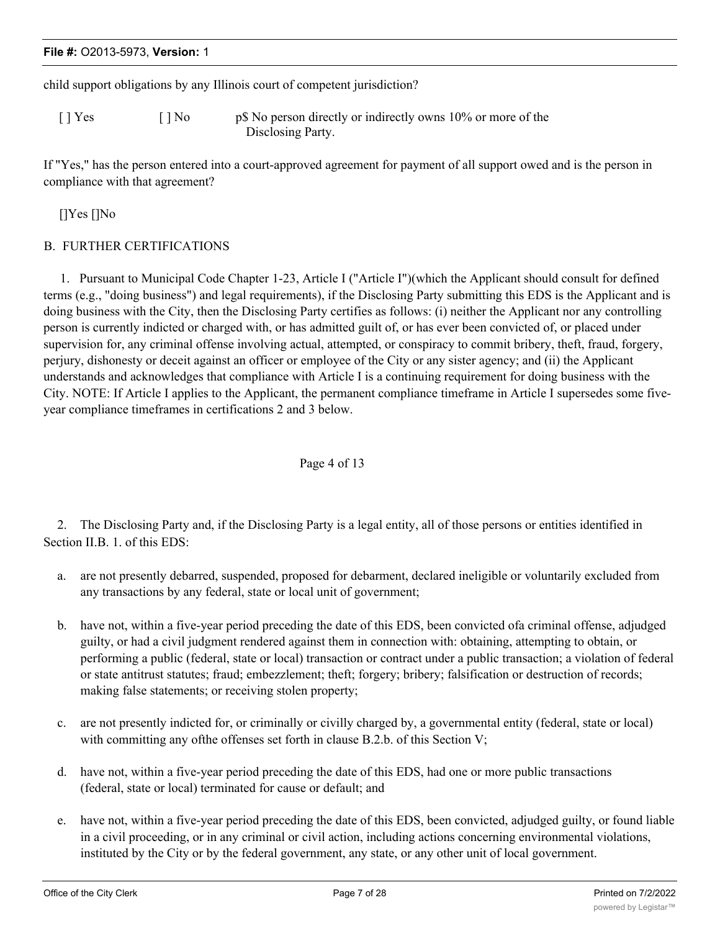|  | File #: O2013-5973, Version: 1 |  |  |
|--|--------------------------------|--|--|
|--|--------------------------------|--|--|

child support obligations by any Illinois court of competent jurisdiction?

[ ] Yes [ ] No p\$ No person directly or indirectly owns 10% or more of the Disclosing Party.

If "Yes," has the person entered into a court-approved agreement for payment of all support owed and is the person in compliance with that agreement?

[]Yes []No

## B. FURTHER CERTIFICATIONS

1. Pursuant to Municipal Code Chapter 1-23, Article I ("Article I")(which the Applicant should consult for defined terms (e.g., "doing business") and legal requirements), if the Disclosing Party submitting this EDS is the Applicant and is doing business with the City, then the Disclosing Party certifies as follows: (i) neither the Applicant nor any controlling person is currently indicted or charged with, or has admitted guilt of, or has ever been convicted of, or placed under supervision for, any criminal offense involving actual, attempted, or conspiracy to commit bribery, theft, fraud, forgery, perjury, dishonesty or deceit against an officer or employee of the City or any sister agency; and (ii) the Applicant understands and acknowledges that compliance with Article I is a continuing requirement for doing business with the City. NOTE: If Article I applies to the Applicant, the permanent compliance timeframe in Article I supersedes some fiveyear compliance timeframes in certifications 2 and 3 below.

#### Page 4 of 13

2. The Disclosing Party and, if the Disclosing Party is a legal entity, all of those persons or entities identified in Section II.B. 1. of this EDS:

- a. are not presently debarred, suspended, proposed for debarment, declared ineligible or voluntarily excluded from any transactions by any federal, state or local unit of government;
- b. have not, within a five-year period preceding the date of this EDS, been convicted ofa criminal offense, adjudged guilty, or had a civil judgment rendered against them in connection with: obtaining, attempting to obtain, or performing a public (federal, state or local) transaction or contract under a public transaction; a violation of federal or state antitrust statutes; fraud; embezzlement; theft; forgery; bribery; falsification or destruction of records; making false statements; or receiving stolen property;
- c. are not presently indicted for, or criminally or civilly charged by, a governmental entity (federal, state or local) with committing any of the offenses set forth in clause B.2.b. of this Section V;
- d. have not, within a five-year period preceding the date of this EDS, had one or more public transactions (federal, state or local) terminated for cause or default; and
- e. have not, within a five-year period preceding the date of this EDS, been convicted, adjudged guilty, or found liable in a civil proceeding, or in any criminal or civil action, including actions concerning environmental violations, instituted by the City or by the federal government, any state, or any other unit of local government.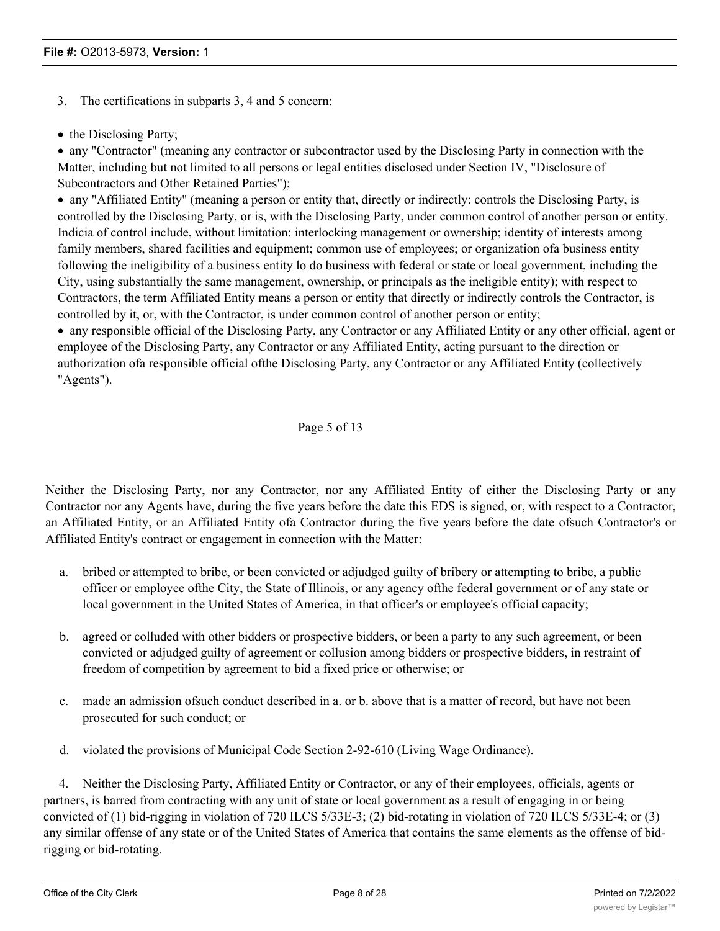3. The certifications in subparts 3, 4 and 5 concern:

• the Disclosing Party;

· any "Contractor" (meaning any contractor or subcontractor used by the Disclosing Party in connection with the Matter, including but not limited to all persons or legal entities disclosed under Section IV, "Disclosure of Subcontractors and Other Retained Parties");

· any "Affiliated Entity" (meaning a person or entity that, directly or indirectly: controls the Disclosing Party, is controlled by the Disclosing Party, or is, with the Disclosing Party, under common control of another person or entity. Indicia of control include, without limitation: interlocking management or ownership; identity of interests among family members, shared facilities and equipment; common use of employees; or organization ofa business entity following the ineligibility of a business entity lo do business with federal or state or local government, including the City, using substantially the same management, ownership, or principals as the ineligible entity); with respect to Contractors, the term Affiliated Entity means a person or entity that directly or indirectly controls the Contractor, is controlled by it, or, with the Contractor, is under common control of another person or entity;

· any responsible official of the Disclosing Party, any Contractor or any Affiliated Entity or any other official, agent or employee of the Disclosing Party, any Contractor or any Affiliated Entity, acting pursuant to the direction or authorization ofa responsible official ofthe Disclosing Party, any Contractor or any Affiliated Entity (collectively "Agents").

## Page 5 of 13

Neither the Disclosing Party, nor any Contractor, nor any Affiliated Entity of either the Disclosing Party or any Contractor nor any Agents have, during the five years before the date this EDS is signed, or, with respect to a Contractor, an Affiliated Entity, or an Affiliated Entity ofa Contractor during the five years before the date ofsuch Contractor's or Affiliated Entity's contract or engagement in connection with the Matter:

- a. bribed or attempted to bribe, or been convicted or adjudged guilty of bribery or attempting to bribe, a public officer or employee ofthe City, the State of Illinois, or any agency ofthe federal government or of any state or local government in the United States of America, in that officer's or employee's official capacity;
- b. agreed or colluded with other bidders or prospective bidders, or been a party to any such agreement, or been convicted or adjudged guilty of agreement or collusion among bidders or prospective bidders, in restraint of freedom of competition by agreement to bid a fixed price or otherwise; or
- c. made an admission ofsuch conduct described in a. or b. above that is a matter of record, but have not been prosecuted for such conduct; or
- d. violated the provisions of Municipal Code Section 2-92-610 (Living Wage Ordinance).

4. Neither the Disclosing Party, Affiliated Entity or Contractor, or any of their employees, officials, agents or partners, is barred from contracting with any unit of state or local government as a result of engaging in or being convicted of (1) bid-rigging in violation of 720 ILCS 5/33E-3; (2) bid-rotating in violation of 720 ILCS 5/33E-4; or (3) any similar offense of any state or of the United States of America that contains the same elements as the offense of bidrigging or bid-rotating.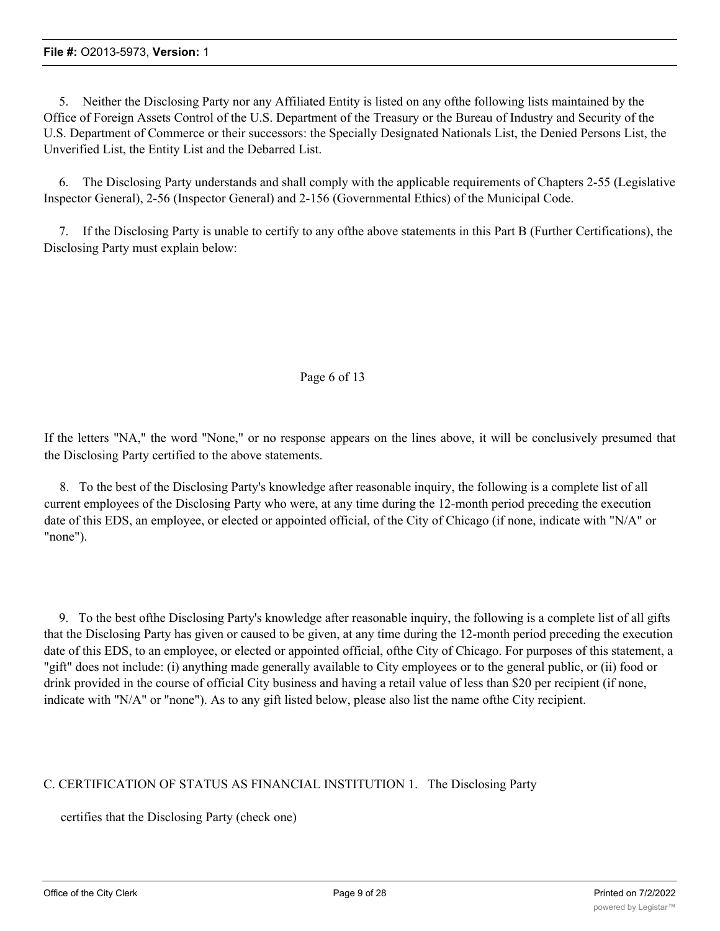5. Neither the Disclosing Party nor any Affiliated Entity is listed on any ofthe following lists maintained by the Office of Foreign Assets Control of the U.S. Department of the Treasury or the Bureau of Industry and Security of the U.S. Department of Commerce or their successors: the Specially Designated Nationals List, the Denied Persons List, the Unverified List, the Entity List and the Debarred List.

6. The Disclosing Party understands and shall comply with the applicable requirements of Chapters 2-55 (Legislative Inspector General), 2-56 (Inspector General) and 2-156 (Governmental Ethics) of the Municipal Code.

7. If the Disclosing Party is unable to certify to any ofthe above statements in this Part B (Further Certifications), the Disclosing Party must explain below:

#### Page 6 of 13

If the letters "NA," the word "None," or no response appears on the lines above, it will be conclusively presumed that the Disclosing Party certified to the above statements.

8. To the best of the Disclosing Party's knowledge after reasonable inquiry, the following is a complete list of all current employees of the Disclosing Party who were, at any time during the 12-month period preceding the execution date of this EDS, an employee, or elected or appointed official, of the City of Chicago (if none, indicate with "N/A" or "none").

9. To the best ofthe Disclosing Party's knowledge after reasonable inquiry, the following is a complete list of all gifts that the Disclosing Party has given or caused to be given, at any time during the 12-month period preceding the execution date of this EDS, to an employee, or elected or appointed official, ofthe City of Chicago. For purposes of this statement, a "gift" does not include: (i) anything made generally available to City employees or to the general public, or (ii) food or drink provided in the course of official City business and having a retail value of less than \$20 per recipient (if none, indicate with "N/A" or "none"). As to any gift listed below, please also list the name ofthe City recipient.

## C. CERTIFICATION OF STATUS AS FINANCIAL INSTITUTION 1. The Disclosing Party

certifies that the Disclosing Party (check one)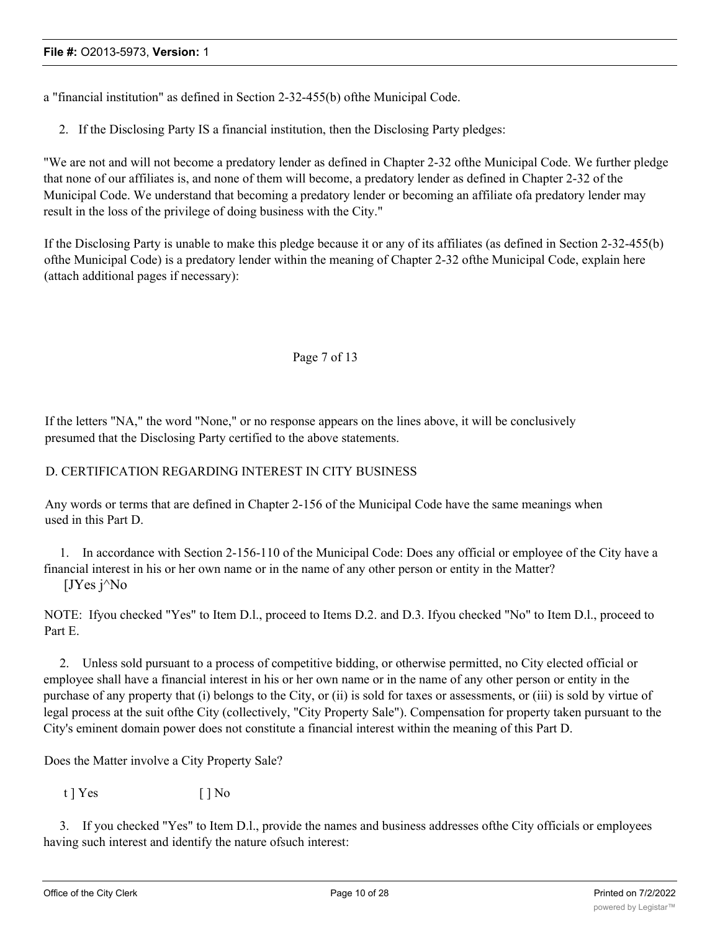a "financial institution" as defined in Section 2-32-455(b) ofthe Municipal Code.

2. If the Disclosing Party IS a financial institution, then the Disclosing Party pledges:

"We are not and will not become a predatory lender as defined in Chapter 2-32 ofthe Municipal Code. We further pledge that none of our affiliates is, and none of them will become, a predatory lender as defined in Chapter 2-32 of the Municipal Code. We understand that becoming a predatory lender or becoming an affiliate ofa predatory lender may result in the loss of the privilege of doing business with the City."

If the Disclosing Party is unable to make this pledge because it or any of its affiliates (as defined in Section 2-32-455(b) ofthe Municipal Code) is a predatory lender within the meaning of Chapter 2-32 ofthe Municipal Code, explain here (attach additional pages if necessary):

#### Page 7 of 13

If the letters "NA," the word "None," or no response appears on the lines above, it will be conclusively presumed that the Disclosing Party certified to the above statements.

## D. CERTIFICATION REGARDING INTEREST IN CITY BUSINESS

Any words or terms that are defined in Chapter 2-156 of the Municipal Code have the same meanings when used in this Part D.

1. In accordance with Section 2-156-110 of the Municipal Code: Does any official or employee of the City have a financial interest in his or her own name or in the name of any other person or entity in the Matter?  $JY$ es j $^{\wedge}$ No

NOTE: Ifyou checked "Yes" to Item D.l., proceed to Items D.2. and D.3. Ifyou checked "No" to Item D.l., proceed to Part E.

2. Unless sold pursuant to a process of competitive bidding, or otherwise permitted, no City elected official or employee shall have a financial interest in his or her own name or in the name of any other person or entity in the purchase of any property that (i) belongs to the City, or (ii) is sold for taxes or assessments, or (iii) is sold by virtue of legal process at the suit ofthe City (collectively, "City Property Sale"). Compensation for property taken pursuant to the City's eminent domain power does not constitute a financial interest within the meaning of this Part D.

Does the Matter involve a City Property Sale?

t ] Yes [ ] No

3. If you checked "Yes" to Item D.l., provide the names and business addresses ofthe City officials or employees having such interest and identify the nature ofsuch interest: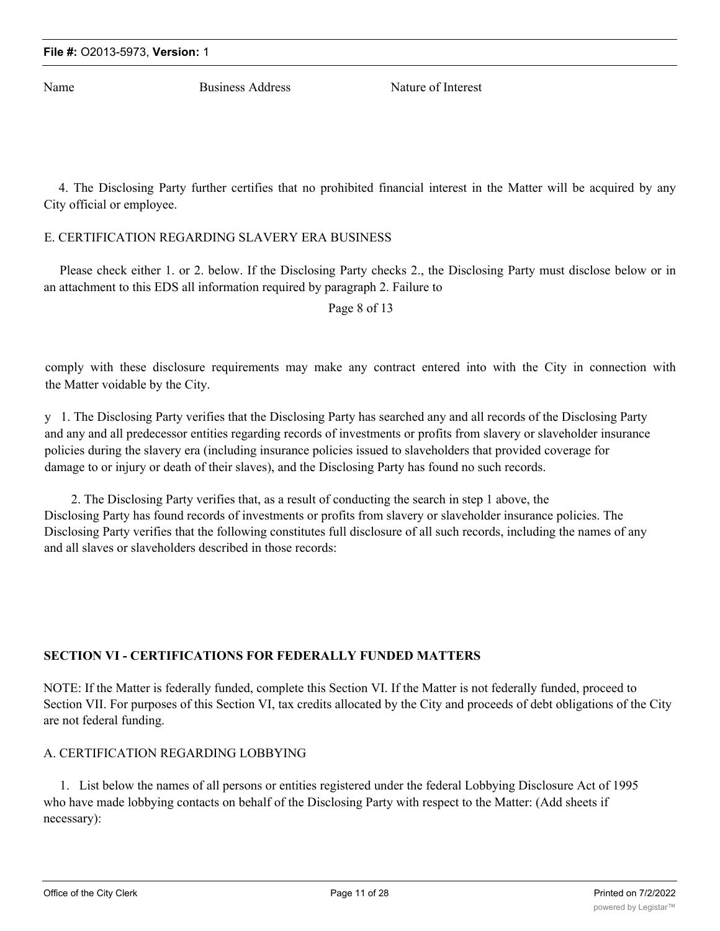Name Business Address Nature of Interest

4. The Disclosing Party further certifies that no prohibited financial interest in the Matter will be acquired by any City official or employee.

## E. CERTIFICATION REGARDING SLAVERY ERA BUSINESS

Please check either 1. or 2. below. If the Disclosing Party checks 2., the Disclosing Party must disclose below or in an attachment to this EDS all information required by paragraph 2. Failure to

Page 8 of 13

comply with these disclosure requirements may make any contract entered into with the City in connection with the Matter voidable by the City.

y 1. The Disclosing Party verifies that the Disclosing Party has searched any and all records of the Disclosing Party and any and all predecessor entities regarding records of investments or profits from slavery or slaveholder insurance policies during the slavery era (including insurance policies issued to slaveholders that provided coverage for damage to or injury or death of their slaves), and the Disclosing Party has found no such records.

2. The Disclosing Party verifies that, as a result of conducting the search in step 1 above, the Disclosing Party has found records of investments or profits from slavery or slaveholder insurance policies. The Disclosing Party verifies that the following constitutes full disclosure of all such records, including the names of any and all slaves or slaveholders described in those records:

## **SECTION VI - CERTIFICATIONS FOR FEDERALLY FUNDED MATTERS**

NOTE: If the Matter is federally funded, complete this Section VI. If the Matter is not federally funded, proceed to Section VII. For purposes of this Section VI, tax credits allocated by the City and proceeds of debt obligations of the City are not federal funding.

## A. CERTIFICATION REGARDING LOBBYING

1. List below the names of all persons or entities registered under the federal Lobbying Disclosure Act of 1995 who have made lobbying contacts on behalf of the Disclosing Party with respect to the Matter: (Add sheets if necessary):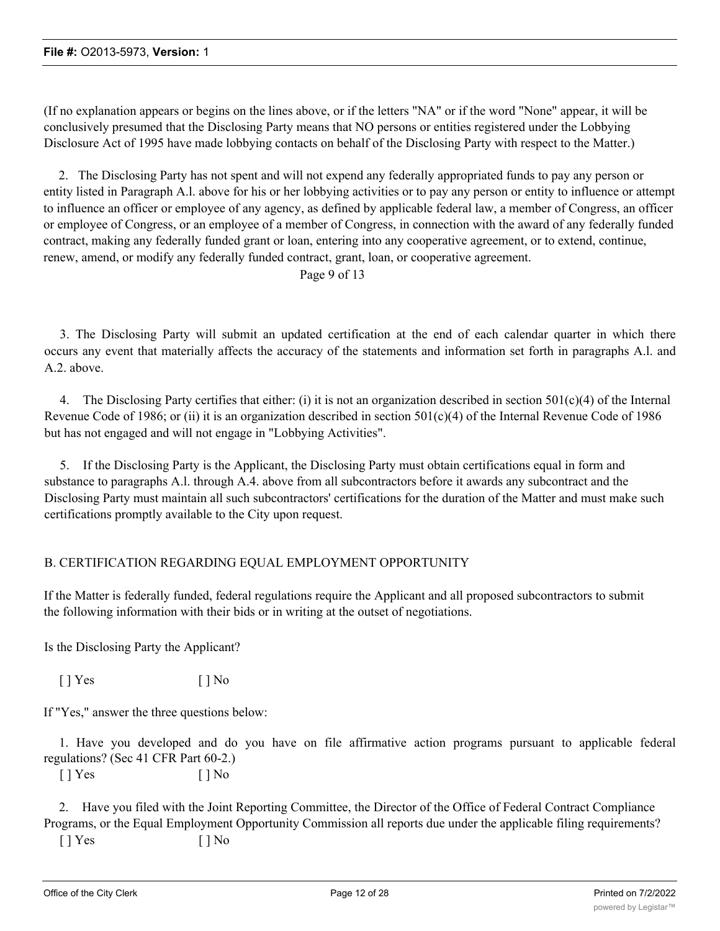(If no explanation appears or begins on the lines above, or if the letters "NA" or if the word "None" appear, it will be conclusively presumed that the Disclosing Party means that NO persons or entities registered under the Lobbying Disclosure Act of 1995 have made lobbying contacts on behalf of the Disclosing Party with respect to the Matter.)

2. The Disclosing Party has not spent and will not expend any federally appropriated funds to pay any person or entity listed in Paragraph A.l. above for his or her lobbying activities or to pay any person or entity to influence or attempt to influence an officer or employee of any agency, as defined by applicable federal law, a member of Congress, an officer or employee of Congress, or an employee of a member of Congress, in connection with the award of any federally funded contract, making any federally funded grant or loan, entering into any cooperative agreement, or to extend, continue, renew, amend, or modify any federally funded contract, grant, loan, or cooperative agreement.

Page 9 of 13

3. The Disclosing Party will submit an updated certification at the end of each calendar quarter in which there occurs any event that materially affects the accuracy of the statements and information set forth in paragraphs A.l. and A.2. above.

4. The Disclosing Party certifies that either: (i) it is not an organization described in section  $501(c)(4)$  of the Internal Revenue Code of 1986; or (ii) it is an organization described in section  $501(c)(4)$  of the Internal Revenue Code of 1986 but has not engaged and will not engage in "Lobbying Activities".

5. If the Disclosing Party is the Applicant, the Disclosing Party must obtain certifications equal in form and substance to paragraphs A.l. through A.4. above from all subcontractors before it awards any subcontract and the Disclosing Party must maintain all such subcontractors' certifications for the duration of the Matter and must make such certifications promptly available to the City upon request.

## B. CERTIFICATION REGARDING EQUAL EMPLOYMENT OPPORTUNITY

If the Matter is federally funded, federal regulations require the Applicant and all proposed subcontractors to submit the following information with their bids or in writing at the outset of negotiations.

Is the Disclosing Party the Applicant?

 $[ ]$  Yes  $[ ]$  No

If "Yes," answer the three questions below:

1. Have you developed and do you have on file affirmative action programs pursuant to applicable federal regulations? (Sec 41 CFR Part 60-2.)

 $[ ]$  Yes  $[ ]$  No

2. Have you filed with the Joint Reporting Committee, the Director of the Office of Federal Contract Compliance Programs, or the Equal Employment Opportunity Commission all reports due under the applicable filing requirements?

 $[ ]$  Yes  $[ ]$  No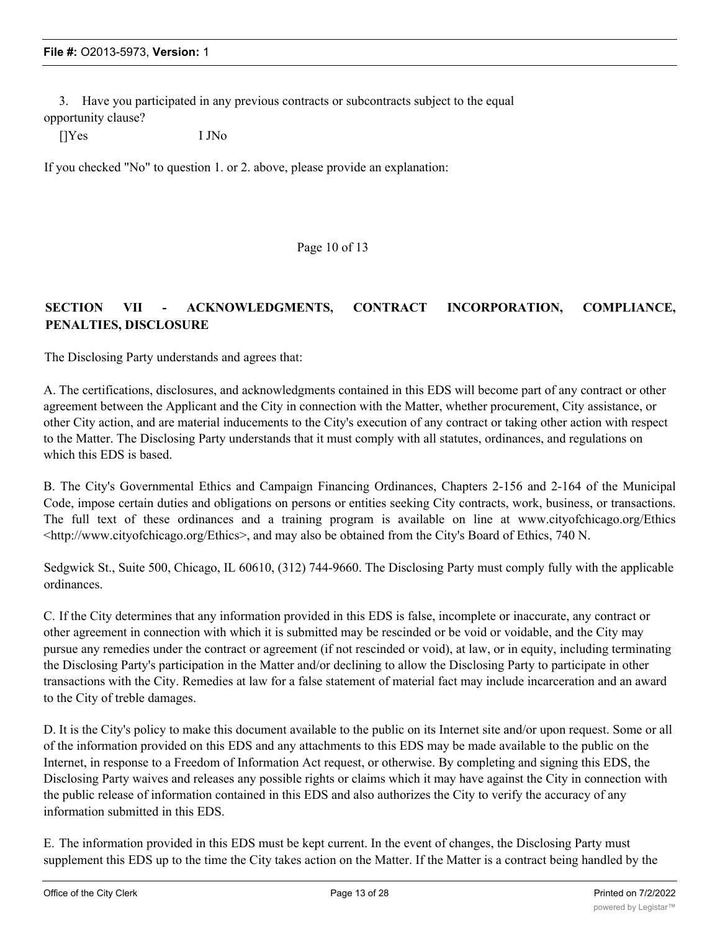3. Have you participated in any previous contracts or subcontracts subject to the equal opportunity clause?

[]Yes I JNo

If you checked "No" to question 1. or 2. above, please provide an explanation:

Page 10 of 13

## **SECTION VII - ACKNOWLEDGMENTS, CONTRACT INCORPORATION, COMPLIANCE, PENALTIES, DISCLOSURE**

The Disclosing Party understands and agrees that:

A. The certifications, disclosures, and acknowledgments contained in this EDS will become part of any contract or other agreement between the Applicant and the City in connection with the Matter, whether procurement, City assistance, or other City action, and are material inducements to the City's execution of any contract or taking other action with respect to the Matter. The Disclosing Party understands that it must comply with all statutes, ordinances, and regulations on which this EDS is based.

B. The City's Governmental Ethics and Campaign Financing Ordinances, Chapters 2-156 and 2-164 of the Municipal Code, impose certain duties and obligations on persons or entities seeking City contracts, work, business, or transactions. The full text of these ordinances and a training program is available on line at www.cityofchicago.org/Ethics <http://www.cityofchicago.org/Ethics>, and may also be obtained from the City's Board of Ethics, 740 N.

Sedgwick St., Suite 500, Chicago, IL 60610, (312) 744-9660. The Disclosing Party must comply fully with the applicable ordinances.

C. If the City determines that any information provided in this EDS is false, incomplete or inaccurate, any contract or other agreement in connection with which it is submitted may be rescinded or be void or voidable, and the City may pursue any remedies under the contract or agreement (if not rescinded or void), at law, or in equity, including terminating the Disclosing Party's participation in the Matter and/or declining to allow the Disclosing Party to participate in other transactions with the City. Remedies at law for a false statement of material fact may include incarceration and an award to the City of treble damages.

D. It is the City's policy to make this document available to the public on its Internet site and/or upon request. Some or all of the information provided on this EDS and any attachments to this EDS may be made available to the public on the Internet, in response to a Freedom of Information Act request, or otherwise. By completing and signing this EDS, the Disclosing Party waives and releases any possible rights or claims which it may have against the City in connection with the public release of information contained in this EDS and also authorizes the City to verify the accuracy of any information submitted in this EDS.

E. The information provided in this EDS must be kept current. In the event of changes, the Disclosing Party must supplement this EDS up to the time the City takes action on the Matter. If the Matter is a contract being handled by the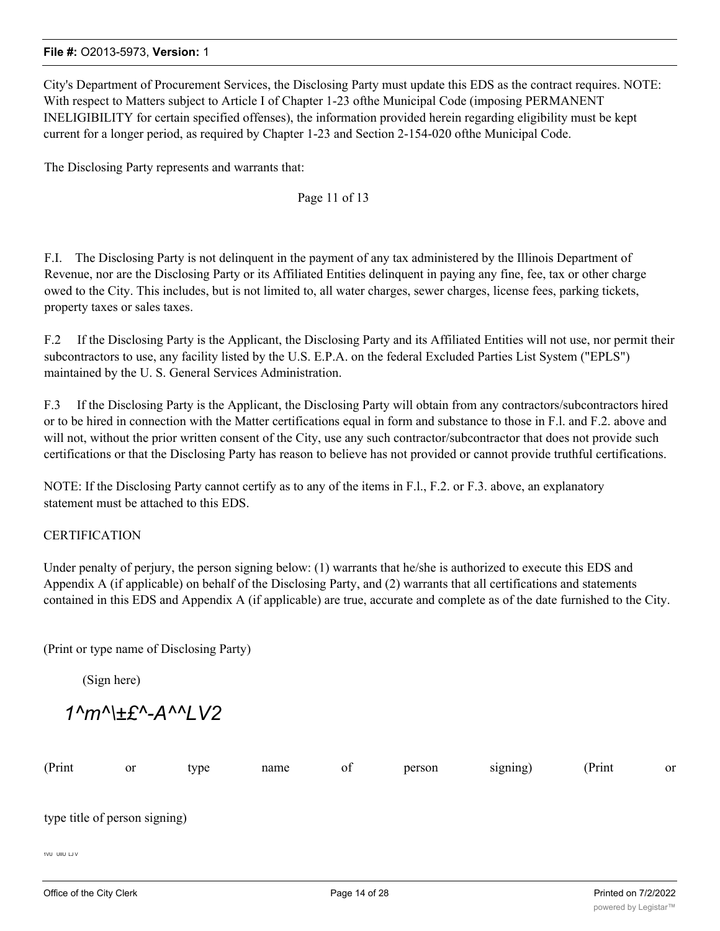City's Department of Procurement Services, the Disclosing Party must update this EDS as the contract requires. NOTE: With respect to Matters subject to Article I of Chapter 1-23 ofthe Municipal Code (imposing PERMANENT INELIGIBILITY for certain specified offenses), the information provided herein regarding eligibility must be kept current for a longer period, as required by Chapter 1-23 and Section 2-154-020 ofthe Municipal Code.

The Disclosing Party represents and warrants that:

## Page 11 of 13

F.I. The Disclosing Party is not delinquent in the payment of any tax administered by the Illinois Department of Revenue, nor are the Disclosing Party or its Affiliated Entities delinquent in paying any fine, fee, tax or other charge owed to the City. This includes, but is not limited to, all water charges, sewer charges, license fees, parking tickets, property taxes or sales taxes.

F.2 If the Disclosing Party is the Applicant, the Disclosing Party and its Affiliated Entities will not use, nor permit their subcontractors to use, any facility listed by the U.S. E.P.A. on the federal Excluded Parties List System ("EPLS") maintained by the U. S. General Services Administration.

F.3 If the Disclosing Party is the Applicant, the Disclosing Party will obtain from any contractors/subcontractors hired or to be hired in connection with the Matter certifications equal in form and substance to those in F.l. and F.2. above and will not, without the prior written consent of the City, use any such contractor/subcontractor that does not provide such certifications or that the Disclosing Party has reason to believe has not provided or cannot provide truthful certifications.

NOTE: If the Disclosing Party cannot certify as to any of the items in F.l., F.2. or F.3. above, an explanatory statement must be attached to this EDS.

## **CERTIFICATION**

Under penalty of perjury, the person signing below: (1) warrants that he/she is authorized to execute this EDS and Appendix A (if applicable) on behalf of the Disclosing Party, and (2) warrants that all certifications and statements contained in this EDS and Appendix A (if applicable) are true, accurate and complete as of the date furnished to the City.

(Print or type name of Disclosing Party)

(Sign here)

*1^m^\±£^-A^^LV2*

| (Print                        | or | type | name | of | person | signing) | (Print | or |
|-------------------------------|----|------|------|----|--------|----------|--------|----|
|                               |    |      |      |    |        |          |        |    |
| type title of person signing) |    |      |      |    |        |          |        |    |
|                               |    |      |      |    |        |          |        |    |
| 1VU UIIU LJ V                 |    |      |      |    |        |          |        |    |
|                               |    |      |      |    |        |          |        |    |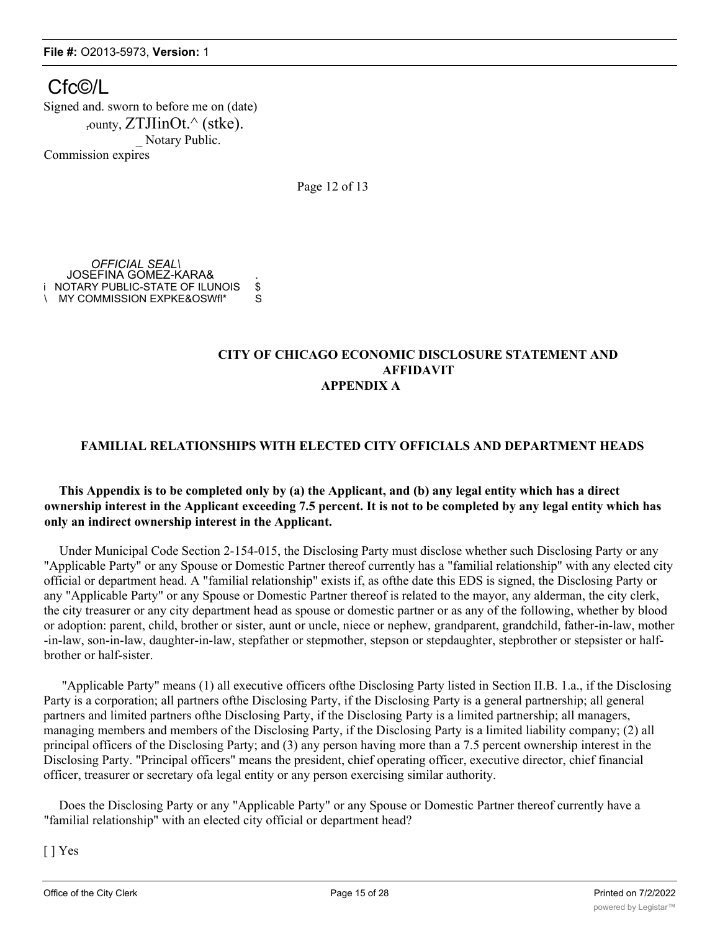Cfc©/L Signed and. sworn to before me on (date) rounty,  $ZTJlinOt^{\wedge}$  (stke). Notary Public. Commission expires

Page 12 of 13

*OFFICIAL SEAL\* JOSEFINA GOMEZ-KARA& . i NOTARY PUBLIC-STATE OF ILUNOIS \$<br>∖ MY COMMISSION EXPKE&OSWfl\* S \ MY COMMISSION EXPKE&OSWfl\*

### **CITY OF CHICAGO ECONOMIC DISCLOSURE STATEMENT AND AFFIDAVIT APPENDIX A**

## **FAMILIAL RELATIONSHIPS WITH ELECTED CITY OFFICIALS AND DEPARTMENT HEADS**

## **This Appendix is to be completed only by (a) the Applicant, and (b) any legal entity which has a direct ownership interest in the Applicant exceeding 7.5 percent. It is not to be completed by any legal entity which has only an indirect ownership interest in the Applicant.**

Under Municipal Code Section 2-154-015, the Disclosing Party must disclose whether such Disclosing Party or any "Applicable Party" or any Spouse or Domestic Partner thereof currently has a "familial relationship" with any elected city official or department head. A "familial relationship" exists if, as ofthe date this EDS is signed, the Disclosing Party or any "Applicable Party" or any Spouse or Domestic Partner thereof is related to the mayor, any alderman, the city clerk, the city treasurer or any city department head as spouse or domestic partner or as any of the following, whether by blood or adoption: parent, child, brother or sister, aunt or uncle, niece or nephew, grandparent, grandchild, father-in-law, mother -in-law, son-in-law, daughter-in-law, stepfather or stepmother, stepson or stepdaughter, stepbrother or stepsister or halfbrother or half-sister.

"Applicable Party" means (1) all executive officers ofthe Disclosing Party listed in Section II.B. 1.a., if the Disclosing Party is a corporation; all partners ofthe Disclosing Party, if the Disclosing Party is a general partnership; all general partners and limited partners ofthe Disclosing Party, if the Disclosing Party is a limited partnership; all managers, managing members and members of the Disclosing Party, if the Disclosing Party is a limited liability company; (2) all principal officers of the Disclosing Party; and (3) any person having more than a 7.5 percent ownership interest in the Disclosing Party. "Principal officers" means the president, chief operating officer, executive director, chief financial officer, treasurer or secretary ofa legal entity or any person exercising similar authority.

Does the Disclosing Party or any "Applicable Party" or any Spouse or Domestic Partner thereof currently have a "familial relationship" with an elected city official or department head?

[ ] Yes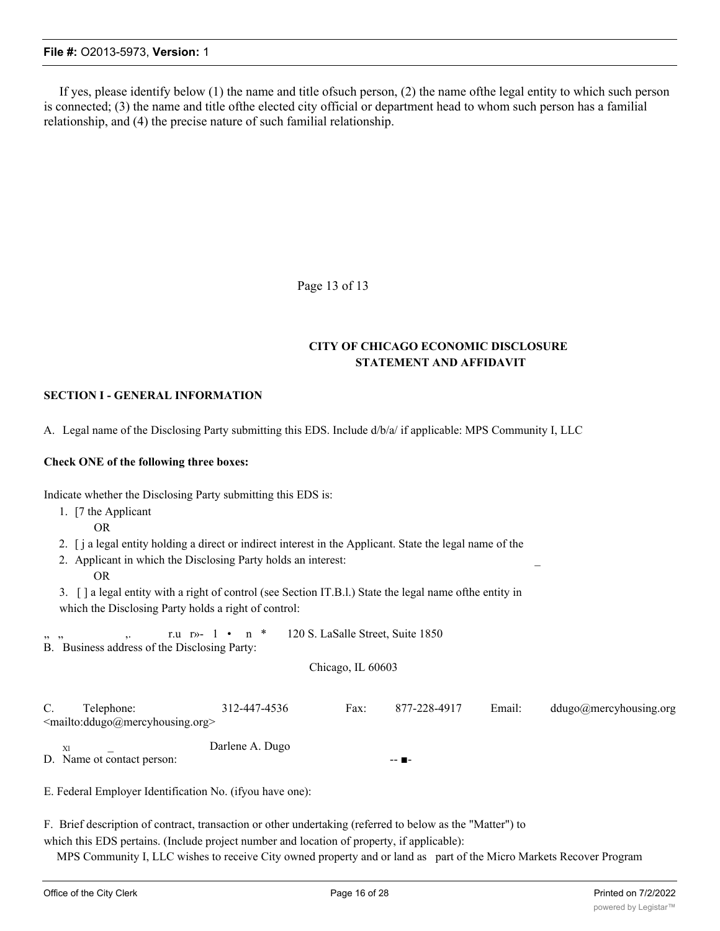If yes, please identify below (1) the name and title ofsuch person, (2) the name ofthe legal entity to which such person is connected; (3) the name and title ofthe elected city official or department head to whom such person has a familial relationship, and (4) the precise nature of such familial relationship.

Page 13 of 13

## **CITY OF CHICAGO ECONOMIC DISCLOSURE STATEMENT AND AFFIDAVIT**

#### **SECTION I - GENERAL INFORMATION**

A. Legal name of the Disclosing Party submitting this EDS. Include d/b/a/ if applicable: MPS Community I, LLC

#### **Check ONE of the following three boxes:**

Indicate whether the Disclosing Party submitting this EDS is:

| 1. [7 the Applicant]<br><b>OR</b>                                                                         |                                                                                                                                                                                                                                                                                       |                   |                                   |        |                        |
|-----------------------------------------------------------------------------------------------------------|---------------------------------------------------------------------------------------------------------------------------------------------------------------------------------------------------------------------------------------------------------------------------------------|-------------------|-----------------------------------|--------|------------------------|
| <b>OR</b>                                                                                                 | 2. [j a legal entity holding a direct or indirect interest in the Applicant. State the legal name of the<br>2. Applicant in which the Disclosing Party holds an interest:<br>3. [] a legal entity with a right of control (see Section IT.B.l.) State the legal name of the entity in |                   |                                   |        |                        |
| which the Disclosing Party holds a right of control:                                                      |                                                                                                                                                                                                                                                                                       |                   |                                   |        |                        |
| B. Business address of the Disclosing Party:                                                              | r.u r»- 1 • n *                                                                                                                                                                                                                                                                       |                   | 120 S. LaSalle Street, Suite 1850 |        |                        |
|                                                                                                           |                                                                                                                                                                                                                                                                                       | Chicago, IL 60603 |                                   |        |                        |
| C.<br>Telephone:<br><mailto:ddugo@mercyhousing.org></mailto:ddugo@mercyhousing.org>                       | 312-447-4536                                                                                                                                                                                                                                                                          | Fax:              | 877-228-4917                      | Email: | ddugo@mercyhousing.org |
| Xl<br>D. Name ot contact person:                                                                          | Darlene A. Dugo                                                                                                                                                                                                                                                                       |                   |                                   |        |                        |
| E. Federal Employer Identification No. (if you have one):                                                 |                                                                                                                                                                                                                                                                                       |                   |                                   |        |                        |
| F. Brief description of contract, transaction or other undertaking (referred to below as the "Matter") to |                                                                                                                                                                                                                                                                                       |                   |                                   |        |                        |

which this EDS pertains. (Include project number and location of property, if applicable):

MPS Community I, LLC wishes to receive City owned property and or land as part of the Micro Markets Recover Program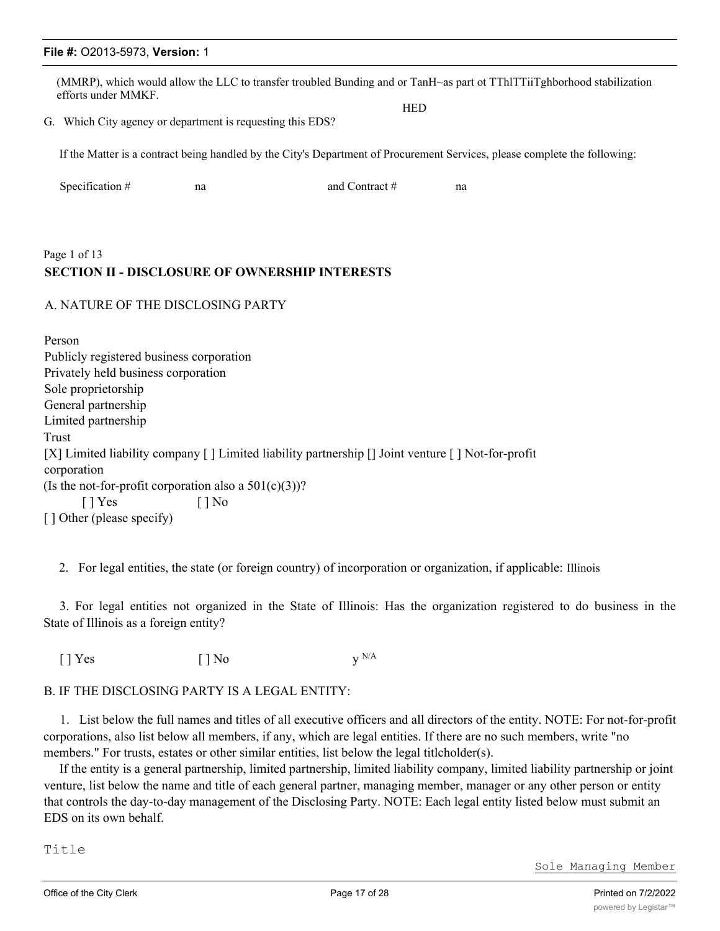(MMRP), which would allow the LLC to transfer troubled Bunding and or TanH~as part ot TThlTTiiTghborhood stabilization efforts under MMKF.

**HED** 

G. Which City agency or department is requesting this EDS?

If the Matter is a contract being handled by the City's Department of Procurement Services, please complete the following:

| Specification $#$ | na | and Contract $#$ | na |
|-------------------|----|------------------|----|
|                   |    |                  |    |

# Page 1 of 13 **SECTION II - DISCLOSURE OF OWNERSHIP INTERESTS**

## A. NATURE OF THE DISCLOSING PARTY

Person Publicly registered business corporation Privately held business corporation Sole proprietorship General partnership Limited partnership Trust [X] Limited liability company [ ] Limited liability partnership [] Joint venture [ ] Not-for-profit corporation (Is the not-for-profit corporation also a  $501(c)(3)$ )?  $[ ]$  Yes  $[ ]$  No [ ] Other (please specify)

2. For legal entities, the state (or foreign country) of incorporation or organization, if applicable: Illinois

3. For legal entities not organized in the State of Illinois: Has the organization registered to do business in the State of Illinois as a foreign entity?

 $[ ]$  Yes  $[ ]$  No  $y$ <sup>N/A</sup>

#### B. IF THE DISCLOSING PARTY IS A LEGAL ENTITY:

1. List below the full names and titles of all executive officers and all directors of the entity. NOTE: For not-for-profit corporations, also list below all members, if any, which are legal entities. If there are no such members, write "no members." For trusts, estates or other similar entities, list below the legal titlcholder(s).

If the entity is a general partnership, limited partnership, limited liability company, limited liability partnership or joint venture, list below the name and title of each general partner, managing member, manager or any other person or entity that controls the day-to-day management of the Disclosing Party. NOTE: Each legal entity listed below must submit an EDS on its own behalf.

Title

Sole Managing Member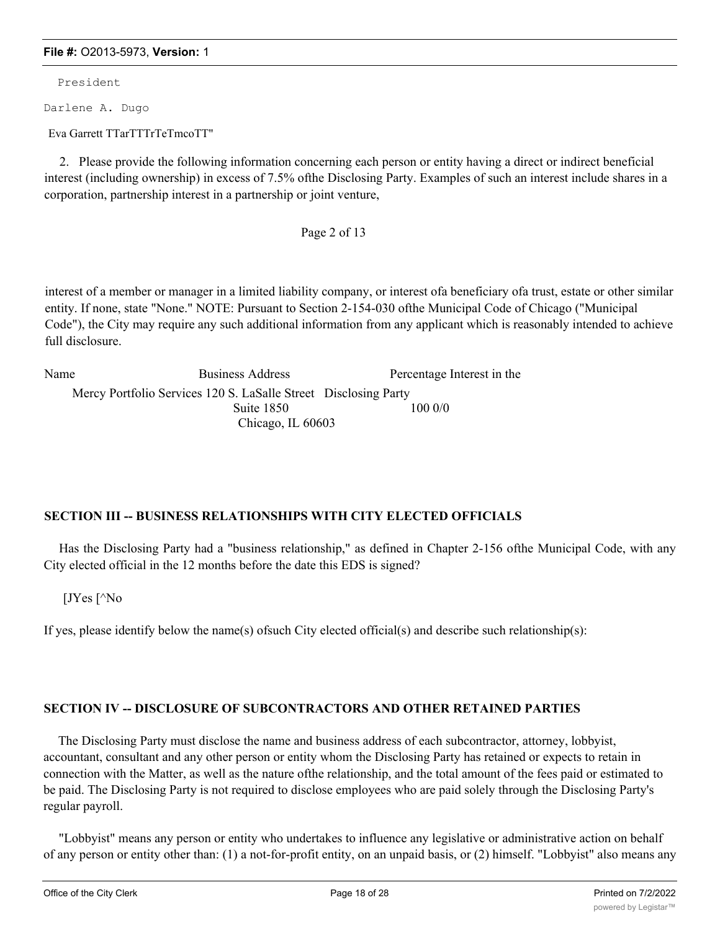President

Darlene A. Dugo

Eva Garrett TTarTTTrTeTmcoTT"

2. Please provide the following information concerning each person or entity having a direct or indirect beneficial interest (including ownership) in excess of 7.5% ofthe Disclosing Party. Examples of such an interest include shares in a corporation, partnership interest in a partnership or joint venture,

Page 2 of 13

interest of a member or manager in a limited liability company, or interest ofa beneficiary ofa trust, estate or other similar entity. If none, state "None." NOTE: Pursuant to Section 2-154-030 ofthe Municipal Code of Chicago ("Municipal Code"), the City may require any such additional information from any applicant which is reasonably intended to achieve full disclosure.

| Name | Business Address                                                | Percentage Interest in the |
|------|-----------------------------------------------------------------|----------------------------|
|      | Mercy Portfolio Services 120 S. LaSalle Street Disclosing Party |                            |
|      | Suite 1850                                                      | 100 0/0                    |
|      | Chicago, IL 60603                                               |                            |

## **SECTION III -- BUSINESS RELATIONSHIPS WITH CITY ELECTED OFFICIALS**

Has the Disclosing Party had a "business relationship," as defined in Chapter 2-156 ofthe Municipal Code, with any City elected official in the 12 months before the date this EDS is signed?

[JYes [^No

If yes, please identify below the name(s) of such City elected official(s) and describe such relationship(s):

## **SECTION IV -- DISCLOSURE OF SUBCONTRACTORS AND OTHER RETAINED PARTIES**

The Disclosing Party must disclose the name and business address of each subcontractor, attorney, lobbyist, accountant, consultant and any other person or entity whom the Disclosing Party has retained or expects to retain in connection with the Matter, as well as the nature ofthe relationship, and the total amount of the fees paid or estimated to be paid. The Disclosing Party is not required to disclose employees who are paid solely through the Disclosing Party's regular payroll.

"Lobbyist" means any person or entity who undertakes to influence any legislative or administrative action on behalf of any person or entity other than: (1) a not-for-profit entity, on an unpaid basis, or (2) himself. "Lobbyist" also means any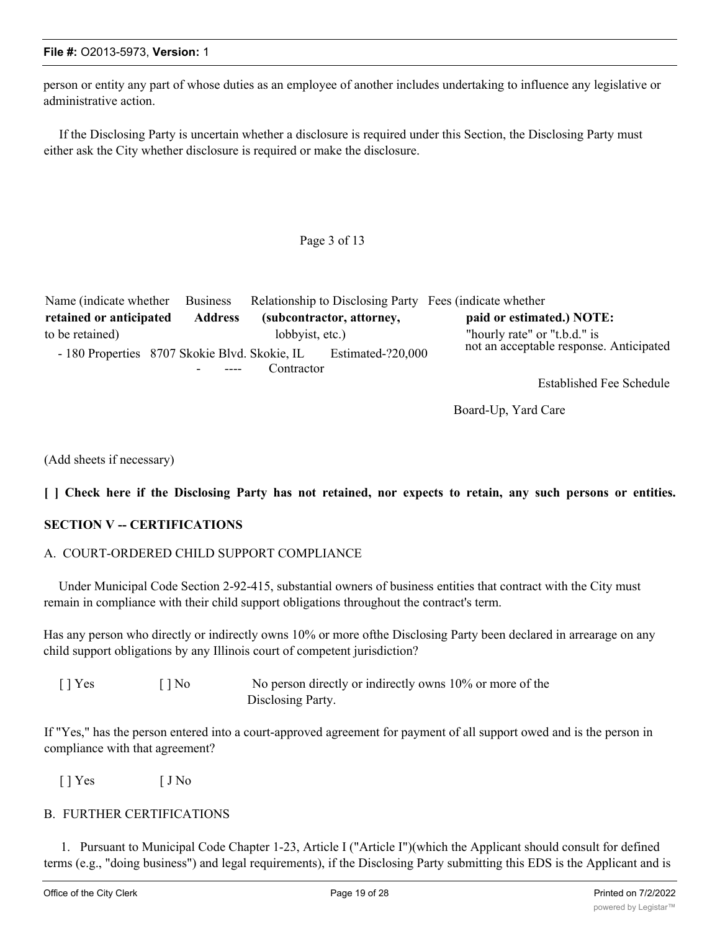person or entity any part of whose duties as an employee of another includes undertaking to influence any legislative or administrative action.

If the Disclosing Party is uncertain whether a disclosure is required under this Section, the Disclosing Party must either ask the City whether disclosure is required or make the disclosure.

Page 3 of 13

| Name (indicate whether                        | <b>Business</b> |                 |                           | Relationship to Disclosing Party Fees (indicate whether                 |
|-----------------------------------------------|-----------------|-----------------|---------------------------|-------------------------------------------------------------------------|
| retained or anticipated                       | <b>Address</b>  |                 | (subcontractor, attorney, | paid or estimated.) NOTE:                                               |
| to be retained)                               |                 | lobbyist, etc.) |                           | "hourly rate" or "t.b.d." is<br>not an acceptable response. Anticipated |
| - 180 Properties 8707 Skokie Blvd. Skokie, IL |                 |                 | Estimated-?20,000         |                                                                         |
|                                               |                 | Contractor      |                           |                                                                         |

Established Fee Schedule

Board-Up, Yard Care

(Add sheets if necessary)

## [ ] Check here if the Disclosing Party has not retained, nor expects to retain, any such persons or entities.

## **SECTION V -- CERTIFICATIONS**

## A. COURT-ORDERED CHILD SUPPORT COMPLIANCE

Under Municipal Code Section 2-92-415, substantial owners of business entities that contract with the City must remain in compliance with their child support obligations throughout the contract's term.

Has any person who directly or indirectly owns 10% or more ofthe Disclosing Party been declared in arrearage on any child support obligations by any Illinois court of competent jurisdiction?

| $[$   Yes | $\lceil \cdot \rceil$ No | No person directly or indirectly owns 10% or more of the |
|-----------|--------------------------|----------------------------------------------------------|
|           |                          | Disclosing Party.                                        |

If "Yes," has the person entered into a court-approved agreement for payment of all support owed and is the person in compliance with that agreement?

 $[ ]$   $Y$ es  $[ ]$   $N$ o

## B. FURTHER CERTIFICATIONS

1. Pursuant to Municipal Code Chapter 1-23, Article I ("Article I")(which the Applicant should consult for defined terms (e.g., "doing business") and legal requirements), if the Disclosing Party submitting this EDS is the Applicant and is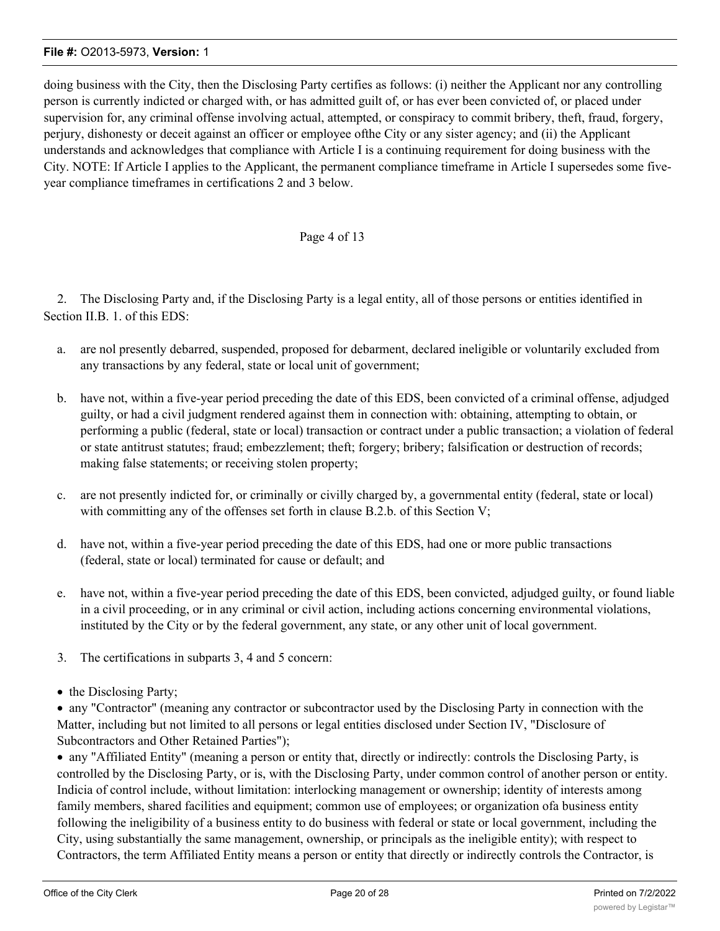doing business with the City, then the Disclosing Party certifies as follows: (i) neither the Applicant nor any controlling person is currently indicted or charged with, or has admitted guilt of, or has ever been convicted of, or placed under supervision for, any criminal offense involving actual, attempted, or conspiracy to commit bribery, theft, fraud, forgery, perjury, dishonesty or deceit against an officer or employee ofthe City or any sister agency; and (ii) the Applicant understands and acknowledges that compliance with Article I is a continuing requirement for doing business with the City. NOTE: If Article I applies to the Applicant, the permanent compliance timeframe in Article I supersedes some fiveyear compliance timeframes in certifications 2 and 3 below.

## Page 4 of 13

2. The Disclosing Party and, if the Disclosing Party is a legal entity, all of those persons or entities identified in Section II.B. 1. of this EDS:

- a. are nol presently debarred, suspended, proposed for debarment, declared ineligible or voluntarily excluded from any transactions by any federal, state or local unit of government;
- b. have not, within a five-year period preceding the date of this EDS, been convicted of a criminal offense, adjudged guilty, or had a civil judgment rendered against them in connection with: obtaining, attempting to obtain, or performing a public (federal, state or local) transaction or contract under a public transaction; a violation of federal or state antitrust statutes; fraud; embezzlement; theft; forgery; bribery; falsification or destruction of records; making false statements; or receiving stolen property;
- c. are not presently indicted for, or criminally or civilly charged by, a governmental entity (federal, state or local) with committing any of the offenses set forth in clause B.2.b. of this Section V;
- d. have not, within a five-year period preceding the date of this EDS, had one or more public transactions (federal, state or local) terminated for cause or default; and
- e. have not, within a five-year period preceding the date of this EDS, been convicted, adjudged guilty, or found liable in a civil proceeding, or in any criminal or civil action, including actions concerning environmental violations, instituted by the City or by the federal government, any state, or any other unit of local government.
- 3. The certifications in subparts 3, 4 and 5 concern:
- the Disclosing Party;

· any "Contractor" (meaning any contractor or subcontractor used by the Disclosing Party in connection with the Matter, including but not limited to all persons or legal entities disclosed under Section IV, "Disclosure of Subcontractors and Other Retained Parties");

· any "Affiliated Entity" (meaning a person or entity that, directly or indirectly: controls the Disclosing Party, is controlled by the Disclosing Party, or is, with the Disclosing Party, under common control of another person or entity. Indicia of control include, without limitation: interlocking management or ownership; identity of interests among family members, shared facilities and equipment; common use of employees; or organization ofa business entity following the ineligibility of a business entity to do business with federal or state or local government, including the City, using substantially the same management, ownership, or principals as the ineligible entity); with respect to Contractors, the term Affiliated Entity means a person or entity that directly or indirectly controls the Contractor, is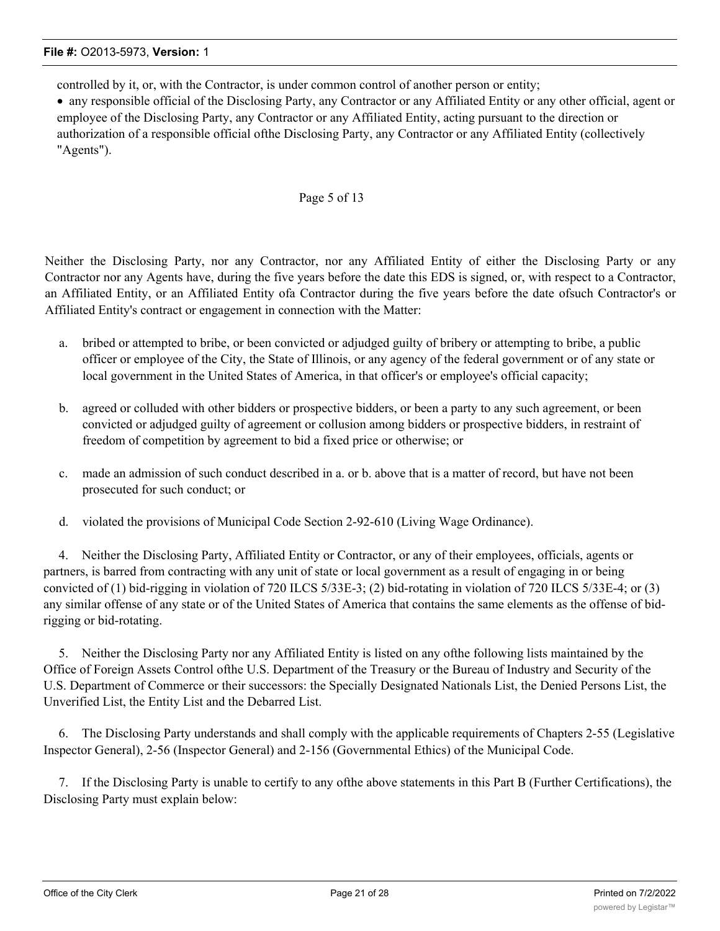controlled by it, or, with the Contractor, is under common control of another person or entity;

· any responsible official of the Disclosing Party, any Contractor or any Affiliated Entity or any other official, agent or employee of the Disclosing Party, any Contractor or any Affiliated Entity, acting pursuant to the direction or authorization of a responsible official ofthe Disclosing Party, any Contractor or any Affiliated Entity (collectively "Agents").

## Page 5 of 13

Neither the Disclosing Party, nor any Contractor, nor any Affiliated Entity of either the Disclosing Party or any Contractor nor any Agents have, during the five years before the date this EDS is signed, or, with respect to a Contractor, an Affiliated Entity, or an Affiliated Entity ofa Contractor during the five years before the date ofsuch Contractor's or Affiliated Entity's contract or engagement in connection with the Matter:

- a. bribed or attempted to bribe, or been convicted or adjudged guilty of bribery or attempting to bribe, a public officer or employee of the City, the State of Illinois, or any agency of the federal government or of any state or local government in the United States of America, in that officer's or employee's official capacity;
- b. agreed or colluded with other bidders or prospective bidders, or been a party to any such agreement, or been convicted or adjudged guilty of agreement or collusion among bidders or prospective bidders, in restraint of freedom of competition by agreement to bid a fixed price or otherwise; or
- c. made an admission of such conduct described in a. or b. above that is a matter of record, but have not been prosecuted for such conduct; or
- d. violated the provisions of Municipal Code Section 2-92-610 (Living Wage Ordinance).

4. Neither the Disclosing Party, Affiliated Entity or Contractor, or any of their employees, officials, agents or partners, is barred from contracting with any unit of state or local government as a result of engaging in or being convicted of (1) bid-rigging in violation of 720 ILCS 5/33E-3; (2) bid-rotating in violation of 720 ILCS 5/33E-4; or (3) any similar offense of any state or of the United States of America that contains the same elements as the offense of bidrigging or bid-rotating.

5. Neither the Disclosing Party nor any Affiliated Entity is listed on any ofthe following lists maintained by the Office of Foreign Assets Control ofthe U.S. Department of the Treasury or the Bureau of Industry and Security of the U.S. Department of Commerce or their successors: the Specially Designated Nationals List, the Denied Persons List, the Unverified List, the Entity List and the Debarred List.

6. The Disclosing Party understands and shall comply with the applicable requirements of Chapters 2-55 (Legislative Inspector General), 2-56 (Inspector General) and 2-156 (Governmental Ethics) of the Municipal Code.

7. If the Disclosing Party is unable to certify to any ofthe above statements in this Part B (Further Certifications), the Disclosing Party must explain below: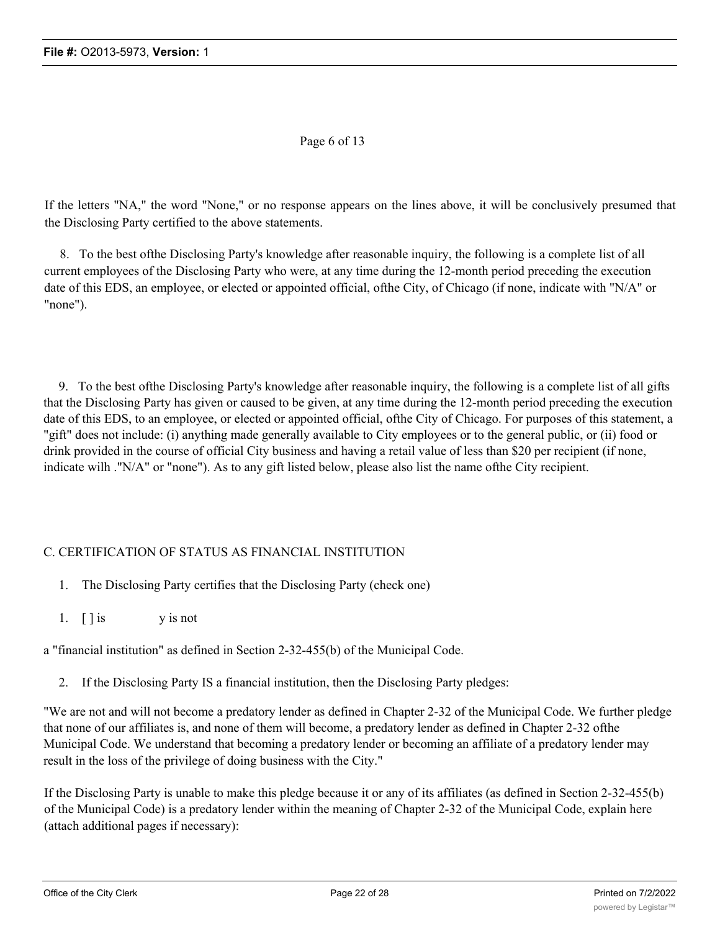## Page 6 of 13

If the letters "NA," the word "None," or no response appears on the lines above, it will be conclusively presumed that the Disclosing Party certified to the above statements.

8. To the best ofthe Disclosing Party's knowledge after reasonable inquiry, the following is a complete list of all current employees of the Disclosing Party who were, at any time during the 12-month period preceding the execution date of this EDS, an employee, or elected or appointed official, ofthe City, of Chicago (if none, indicate with "N/A" or "none").

9. To the best ofthe Disclosing Party's knowledge after reasonable inquiry, the following is a complete list of all gifts that the Disclosing Party has given or caused to be given, at any time during the 12-month period preceding the execution date of this EDS, to an employee, or elected or appointed official, ofthe City of Chicago. For purposes of this statement, a "gift" does not include: (i) anything made generally available to City employees or to the general public, or (ii) food or drink provided in the course of official City business and having a retail value of less than \$20 per recipient (if none, indicate wilh ."N/A" or "none"). As to any gift listed below, please also list the name ofthe City recipient.

## C. CERTIFICATION OF STATUS AS FINANCIAL INSTITUTION

- 1. The Disclosing Party certifies that the Disclosing Party (check one)
- 1.  $\lceil \cdot \rceil$  is y is not

a "financial institution" as defined in Section 2-32-455(b) of the Municipal Code.

2. If the Disclosing Party IS a financial institution, then the Disclosing Party pledges:

"We are not and will not become a predatory lender as defined in Chapter 2-32 of the Municipal Code. We further pledge that none of our affiliates is, and none of them will become, a predatory lender as defined in Chapter 2-32 ofthe Municipal Code. We understand that becoming a predatory lender or becoming an affiliate of a predatory lender may result in the loss of the privilege of doing business with the City."

If the Disclosing Party is unable to make this pledge because it or any of its affiliates (as defined in Section 2-32-455(b) of the Municipal Code) is a predatory lender within the meaning of Chapter 2-32 of the Municipal Code, explain here (attach additional pages if necessary):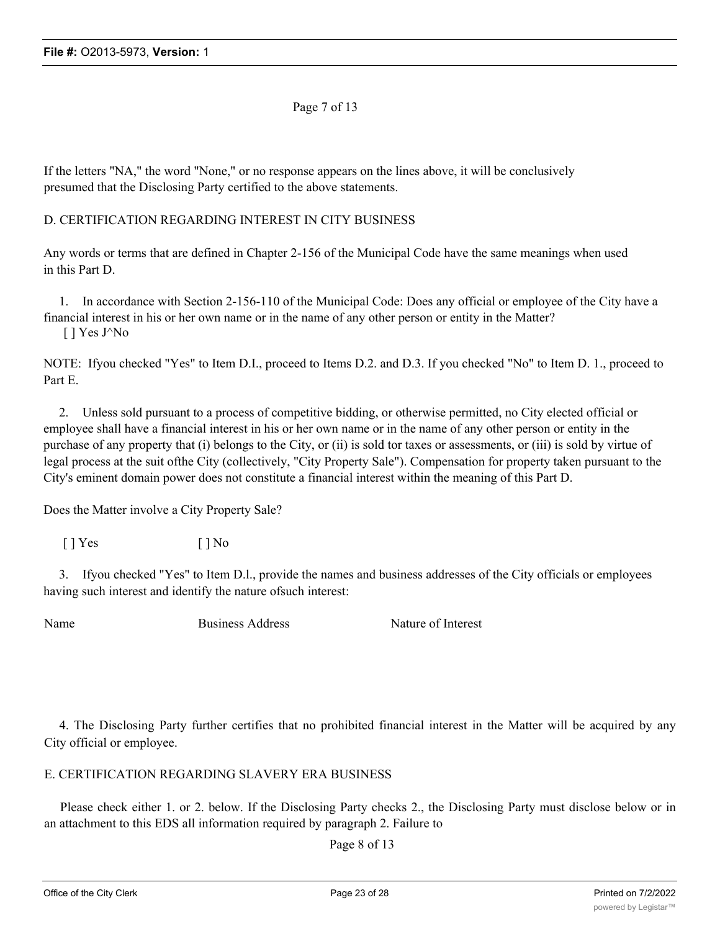Page 7 of 13

If the letters "NA," the word "None," or no response appears on the lines above, it will be conclusively presumed that the Disclosing Party certified to the above statements.

## D. CERTIFICATION REGARDING INTEREST IN CITY BUSINESS

Any words or terms that are defined in Chapter 2-156 of the Municipal Code have the same meanings when used in this Part D.

1. In accordance with Section 2-156-110 of the Municipal Code: Does any official or employee of the City have a financial interest in his or her own name or in the name of any other person or entity in the Matter? [ ] Yes J^No

NOTE: Ifyou checked "Yes" to Item D.I., proceed to Items D.2. and D.3. If you checked "No" to Item D. 1., proceed to Part E.

2. Unless sold pursuant to a process of competitive bidding, or otherwise permitted, no City elected official or employee shall have a financial interest in his or her own name or in the name of any other person or entity in the purchase of any property that (i) belongs to the City, or (ii) is sold tor taxes or assessments, or (iii) is sold by virtue of legal process at the suit ofthe City (collectively, "City Property Sale"). Compensation for property taken pursuant to the City's eminent domain power does not constitute a financial interest within the meaning of this Part D.

Does the Matter involve a City Property Sale?

[ ] Yes [ ] No

3. Ifyou checked "Yes" to Item D.l., provide the names and business addresses of the City officials or employees having such interest and identify the nature ofsuch interest:

Name Business Address Nature of Interest

4. The Disclosing Party further certifies that no prohibited financial interest in the Matter will be acquired by any City official or employee.

E. CERTIFICATION REGARDING SLAVERY ERA BUSINESS

Please check either 1. or 2. below. If the Disclosing Party checks 2., the Disclosing Party must disclose below or in an attachment to this EDS all information required by paragraph 2. Failure to

Page 8 of 13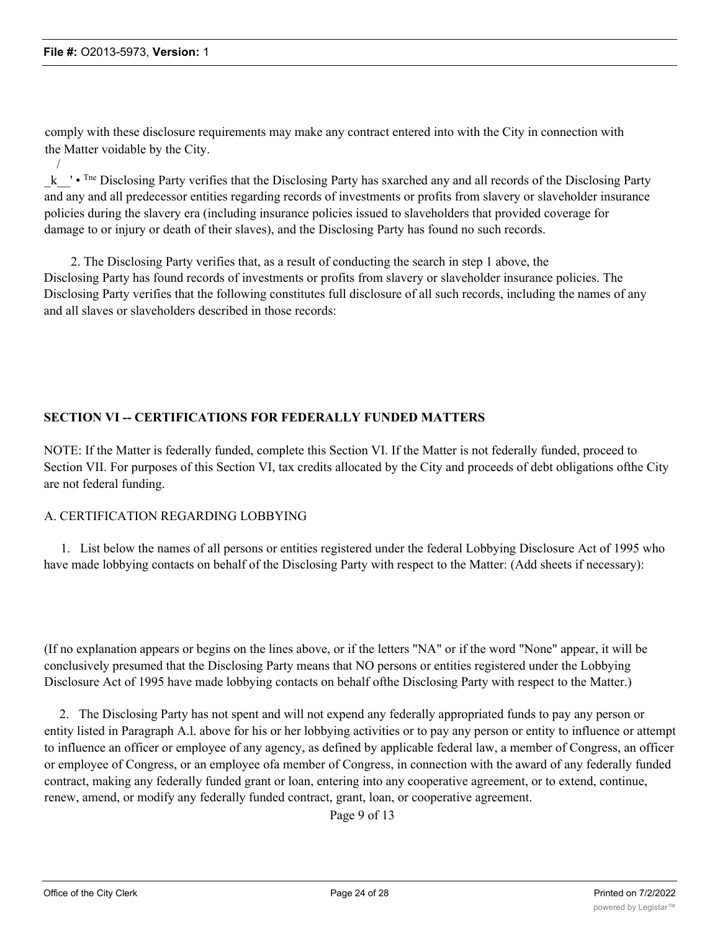/

comply with these disclosure requirements may make any contract entered into with the City in connection with the Matter voidable by the City.

k <sup>t</sup> • <sup>Tne</sup> Disclosing Party verifies that the Disclosing Party has sxarched any and all records of the Disclosing Party and any and all predecessor entities regarding records of investments or profits from slavery or slaveholder insurance policies during the slavery era (including insurance policies issued to slaveholders that provided coverage for damage to or injury or death of their slaves), and the Disclosing Party has found no such records.

2. The Disclosing Party verifies that, as a result of conducting the search in step 1 above, the Disclosing Party has found records of investments or profits from slavery or slaveholder insurance policies. The Disclosing Party verifies that the following constitutes full disclosure of all such records, including the names of any and all slaves or slaveholders described in those records:

## **SECTION VI -- CERTIFICATIONS FOR FEDERALLY FUNDED MATTERS**

NOTE: If the Matter is federally funded, complete this Section VI. If the Matter is not federally funded, proceed to Section VII. For purposes of this Section VI, tax credits allocated by the City and proceeds of debt obligations ofthe City are not federal funding.

## A. CERTIFICATION REGARDING LOBBYING

1. List below the names of all persons or entities registered under the federal Lobbying Disclosure Act of 1995 who have made lobbying contacts on behalf of the Disclosing Party with respect to the Matter: (Add sheets if necessary):

(If no explanation appears or begins on the lines above, or if the letters "NA" or if the word "None" appear, it will be conclusively presumed that the Disclosing Party means that NO persons or entities registered under the Lobbying Disclosure Act of 1995 have made lobbying contacts on behalf ofthe Disclosing Party with respect to the Matter.)

2. The Disclosing Party has not spent and will not expend any federally appropriated funds to pay any person or entity listed in Paragraph A.l. above for his or her lobbying activities or to pay any person or entity to influence or attempt to influence an officer or employee of any agency, as defined by applicable federal law, a member of Congress, an officer or employee of Congress, or an employee ofa member of Congress, in connection with the award of any federally funded contract, making any federally funded grant or loan, entering into any cooperative agreement, or to extend, continue, renew, amend, or modify any federally funded contract, grant, loan, or cooperative agreement.

Page 9 of 13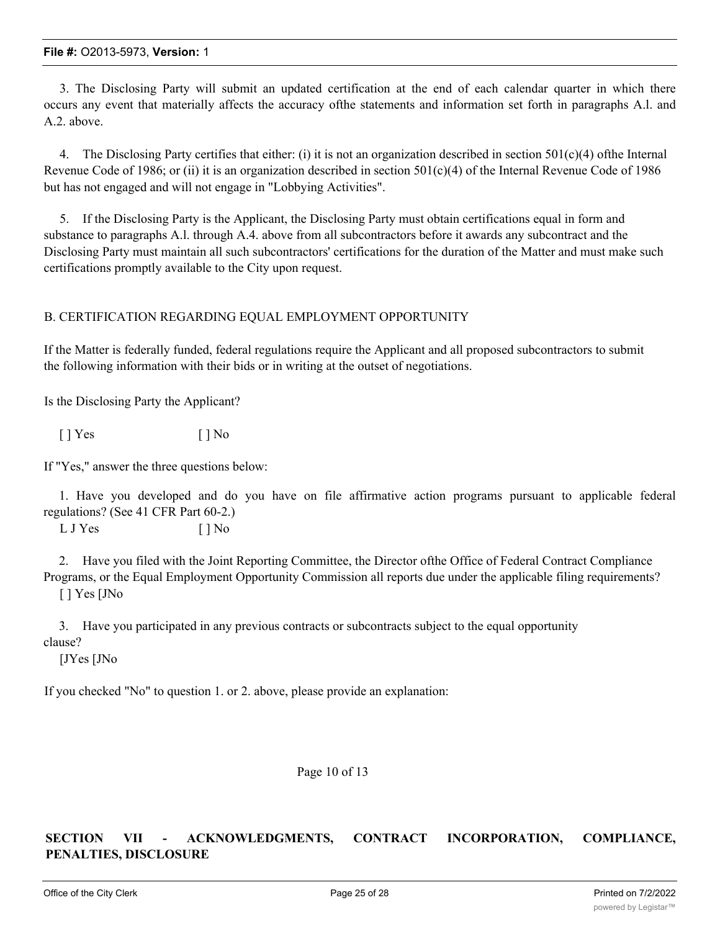3. The Disclosing Party will submit an updated certification at the end of each calendar quarter in which there occurs any event that materially affects the accuracy ofthe statements and information set forth in paragraphs A.l. and A.2. above.

4. The Disclosing Party certifies that either: (i) it is not an organization described in section  $501(c)(4)$  ofthe Internal Revenue Code of 1986; or (ii) it is an organization described in section  $501(c)(4)$  of the Internal Revenue Code of 1986 but has not engaged and will not engage in "Lobbying Activities".

5. If the Disclosing Party is the Applicant, the Disclosing Party must obtain certifications equal in form and substance to paragraphs A.l. through A.4. above from all subcontractors before it awards any subcontract and the Disclosing Party must maintain all such subcontractors' certifications for the duration of the Matter and must make such certifications promptly available to the City upon request.

## B. CERTIFICATION REGARDING EQUAL EMPLOYMENT OPPORTUNITY

If the Matter is federally funded, federal regulations require the Applicant and all proposed subcontractors to submit the following information with their bids or in writing at the outset of negotiations.

Is the Disclosing Party the Applicant?

 $[$  | Yes  $[$  | No

If "Yes," answer the three questions below:

1. Have you developed and do you have on file affirmative action programs pursuant to applicable federal regulations? (See 41 CFR Part 60-2.)

L J Yes [ ] No

2. Have you filed with the Joint Reporting Committee, the Director ofthe Office of Federal Contract Compliance Programs, or the Equal Employment Opportunity Commission all reports due under the applicable filing requirements? [ ] Yes [JNo

3. Have you participated in any previous contracts or subcontracts subject to the equal opportunity clause?

[JYes [JNo

If you checked "No" to question 1. or 2. above, please provide an explanation:

Page 10 of 13

## **SECTION VII - ACKNOWLEDGMENTS, CONTRACT INCORPORATION, COMPLIANCE, PENALTIES, DISCLOSURE**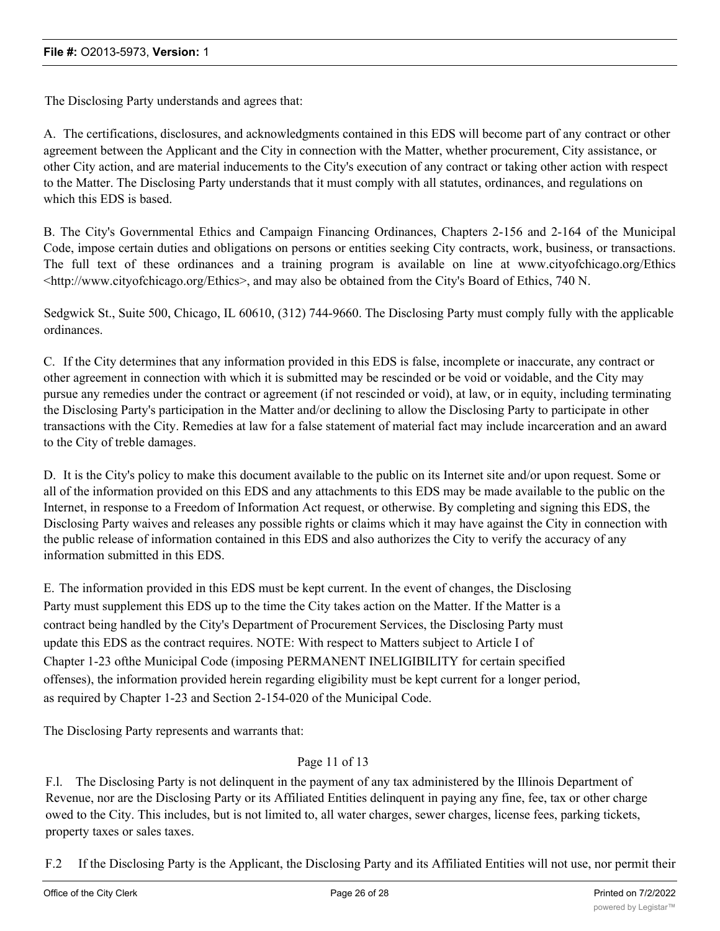The Disclosing Party understands and agrees that:

A. The certifications, disclosures, and acknowledgments contained in this EDS will become part of any contract or other agreement between the Applicant and the City in connection with the Matter, whether procurement, City assistance, or other City action, and are material inducements to the City's execution of any contract or taking other action with respect to the Matter. The Disclosing Party understands that it must comply with all statutes, ordinances, and regulations on which this EDS is based.

B. The City's Governmental Ethics and Campaign Financing Ordinances, Chapters 2-156 and 2-164 of the Municipal Code, impose certain duties and obligations on persons or entities seeking City contracts, work, business, or transactions. The full text of these ordinances and a training program is available on line at www.cityofchicago.org/Ethics  $\lt$ http://www.cityofchicago.org/Ethics>, and may also be obtained from the City's Board of Ethics, 740 N.

Sedgwick St., Suite 500, Chicago, IL 60610, (312) 744-9660. The Disclosing Party must comply fully with the applicable ordinances.

C. If the City determines that any information provided in this EDS is false, incomplete or inaccurate, any contract or other agreement in connection with which it is submitted may be rescinded or be void or voidable, and the City may pursue any remedies under the contract or agreement (if not rescinded or void), at law, or in equity, including terminating the Disclosing Party's participation in the Matter and/or declining to allow the Disclosing Party to participate in other transactions with the City. Remedies at law for a false statement of material fact may include incarceration and an award to the City of treble damages.

D. It is the City's policy to make this document available to the public on its Internet site and/or upon request. Some or all of the information provided on this EDS and any attachments to this EDS may be made available to the public on the Internet, in response to a Freedom of Information Act request, or otherwise. By completing and signing this EDS, the Disclosing Party waives and releases any possible rights or claims which it may have against the City in connection with the public release of information contained in this EDS and also authorizes the City to verify the accuracy of any information submitted in this EDS.

E. The information provided in this EDS must be kept current. In the event of changes, the Disclosing Party must supplement this EDS up to the time the City takes action on the Matter. If the Matter is a contract being handled by the City's Department of Procurement Services, the Disclosing Party must update this EDS as the contract requires. NOTE: With respect to Matters subject to Article I of Chapter 1-23 ofthe Municipal Code (imposing PERMANENT INELIGIBILITY for certain specified offenses), the information provided herein regarding eligibility must be kept current for a longer period, as required by Chapter 1-23 and Section 2-154-020 of the Municipal Code.

The Disclosing Party represents and warrants that:

## Page 11 of 13

F.l. The Disclosing Party is not delinquent in the payment of any tax administered by the Illinois Department of Revenue, nor are the Disclosing Party or its Affiliated Entities delinquent in paying any fine, fee, tax or other charge owed to the City. This includes, but is not limited to, all water charges, sewer charges, license fees, parking tickets, property taxes or sales taxes.

F.2 If the Disclosing Party is the Applicant, the Disclosing Party and its Affiliated Entities will not use, nor permit their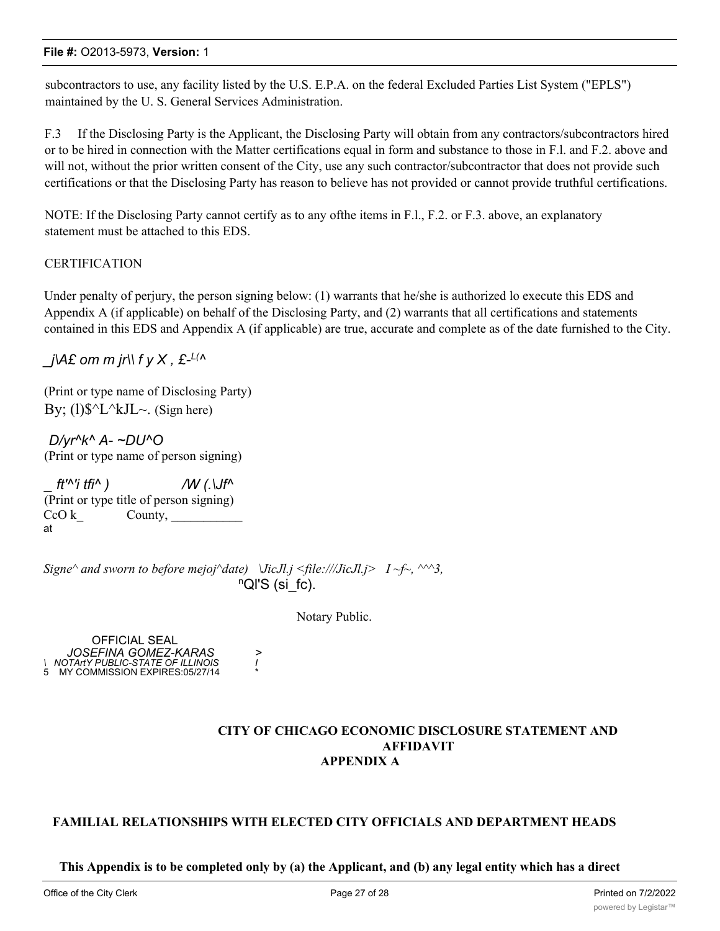subcontractors to use, any facility listed by the U.S. E.P.A. on the federal Excluded Parties List System ("EPLS") maintained by the U. S. General Services Administration.

F.3 If the Disclosing Party is the Applicant, the Disclosing Party will obtain from any contractors/subcontractors hired or to be hired in connection with the Matter certifications equal in form and substance to those in F.l. and F.2. above and will not, without the prior written consent of the City, use any such contractor/subcontractor that does not provide such certifications or that the Disclosing Party has reason to believe has not provided or cannot provide truthful certifications.

NOTE: If the Disclosing Party cannot certify as to any ofthe items in F.l., F.2. or F.3. above, an explanatory statement must be attached to this EDS.

#### **CERTIFICATION**

Under penalty of perjury, the person signing below: (1) warrants that he/she is authorized lo execute this EDS and Appendix A (if applicable) on behalf of the Disclosing Party, and (2) warrants that all certifications and statements contained in this EDS and Appendix A (if applicable) are true, accurate and complete as of the date furnished to the City.

 $j$ \A£ om m jr\\ f y X , £-<sup>L(^</sup>

(Print or type name of Disclosing Party) By;  $(1)$ \$^L^kJL~. (Sign here)

*D/yr^k^ A- ~DU^O* (Print or type name of person signing)

*\_ ft'^'i tfi^ ) /W (.\Jf^* (Print or type title of person signing)  $CoO k$  County, at

*Signe* $\land$  *and sworn to before mejoj* $\land$ *date*)  $\lor$ *JicJl.j <file:///JicJl.j > I ~f~,*  $\land \land \land$ 3, nQl'S (si\_fc).

Notary Public.

OFFICIAL SEAL *JOSEFINA GOMEZ-KARAS > \ NOTArtY PUBLIC-STATE OF ILLINOIS I* 5 MY COMMISSION EXPIRES:05/27/14 \*

## **CITY OF CHICAGO ECONOMIC DISCLOSURE STATEMENT AND AFFIDAVIT APPENDIX A**

## **FAMILIAL RELATIONSHIPS WITH ELECTED CITY OFFICIALS AND DEPARTMENT HEADS**

**This Appendix is to be completed only by (a) the Applicant, and (b) any legal entity which has a direct**